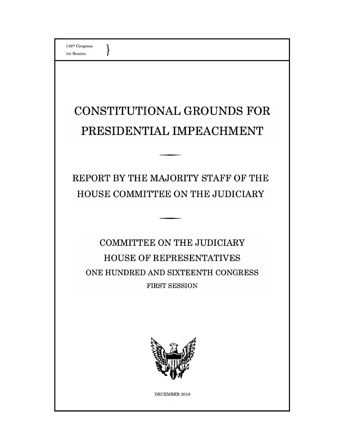$\}$ 

# CONSTITUTIONAL GROUNDS FOR PRESIDENTIAL IMPEACHMENT

REPORT BY THE MAJORITY STAFF OF THE HOUSE COMMITTEE ON THE JUDICIARY

**COMMITTEE ON THE JUDICIARY HOUSE OF REPRESENTATIVES** ONE HUNDRED AND SIXTEENTH CONGRESS **FIRST SESSION** 



DECEMBER 2019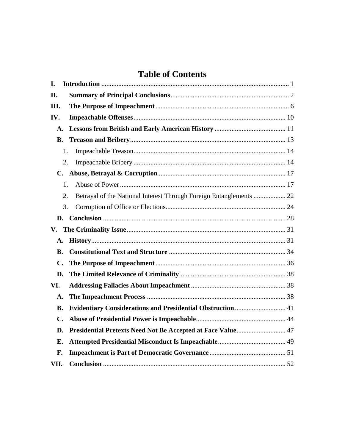# **Table of Contents**

| I.        |                                                                           |  |
|-----------|---------------------------------------------------------------------------|--|
| II.       |                                                                           |  |
| Ш.        |                                                                           |  |
| IV.       |                                                                           |  |
| A.        |                                                                           |  |
| <b>B.</b> |                                                                           |  |
|           | 1.                                                                        |  |
|           | 2.                                                                        |  |
|           |                                                                           |  |
|           | 1.                                                                        |  |
|           | Betrayal of the National Interest Through Foreign Entanglements  22<br>2. |  |
|           | 3.                                                                        |  |
|           |                                                                           |  |
|           |                                                                           |  |
| A.        |                                                                           |  |
| <b>B.</b> |                                                                           |  |
| C.        |                                                                           |  |
| D.        |                                                                           |  |
| VI.       |                                                                           |  |
| A.        |                                                                           |  |
| В.        |                                                                           |  |
| C.        |                                                                           |  |
| D.        |                                                                           |  |
| E.        |                                                                           |  |
| F.        |                                                                           |  |
| VII.      |                                                                           |  |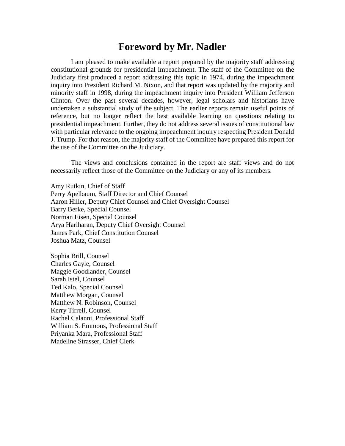# **Foreword by Mr. Nadler**

I am pleased to make available a report prepared by the majority staff addressing constitutional grounds for presidential impeachment. The staff of the Committee on the Judiciary first produced a report addressing this topic in 1974, during the impeachment inquiry into President Richard M. Nixon, and that report was updated by the majority and minority staff in 1998, during the impeachment inquiry into President William Jefferson Clinton. Over the past several decades, however, legal scholars and historians have undertaken a substantial study of the subject. The earlier reports remain useful points of reference, but no longer reflect the best available learning on questions relating to presidential impeachment. Further, they do not address several issues of constitutional law with particular relevance to the ongoing impeachment inquiry respecting President Donald J. Trump. For that reason, the majority staff of the Committee have prepared this report for the use of the Committee on the Judiciary.

The views and conclusions contained in the report are staff views and do not necessarily reflect those of the Committee on the Judiciary or any of its members.

Amy Rutkin, Chief of Staff Perry Apelbaum, Staff Director and Chief Counsel Aaron Hiller, Deputy Chief Counsel and Chief Oversight Counsel Barry Berke, Special Counsel Norman Eisen, Special Counsel Arya Hariharan, Deputy Chief Oversight Counsel James Park, Chief Constitution Counsel Joshua Matz, Counsel

Sophia Brill, Counsel Charles Gayle, Counsel Maggie Goodlander, Counsel Sarah Istel, Counsel Ted Kalo, Special Counsel Matthew Morgan, Counsel Matthew N. Robinson, Counsel Kerry Tirrell, Counsel Rachel Calanni, Professional Staff William S. Emmons, Professional Staff Priyanka Mara, Professional Staff Madeline Strasser, Chief Clerk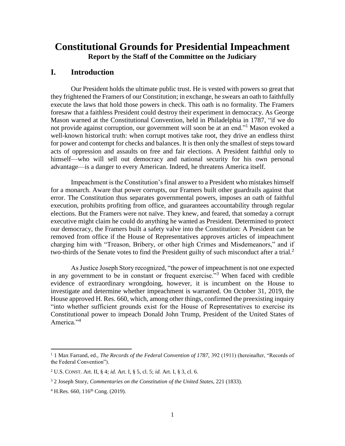# **Constitutional Grounds for Presidential Impeachment Report by the Staff of the Committee on the Judiciary**

# <span id="page-3-0"></span>**I. Introduction**

Our President holds the ultimate public trust. He is vested with powers so great that they frightened the Framers of our Constitution; in exchange, he swears an oath to faithfully execute the laws that hold those powers in check. This oath is no formality. The Framers foresaw that a faithless President could destroy their experiment in democracy. As George Mason warned at the Constitutional Convention, held in Philadelphia in 1787, "if we do not provide against corruption, our government will soon be at an end."<sup>1</sup> Mason evoked a well-known historical truth: when corrupt motives take root, they drive an endless thirst for power and contempt for checks and balances. It is then only the smallest of steps toward acts of oppression and assaults on free and fair elections. A President faithful only to himself—who will sell out democracy and national security for his own personal advantage—is a danger to every American. Indeed, he threatens America itself.

Impeachment is the Constitution's final answer to a President who mistakes himself for a monarch. Aware that power corrupts, our Framers built other guardrails against that error. The Constitution thus separates governmental powers, imposes an oath of faithful execution, prohibits profiting from office, and guarantees accountability through regular elections. But the Framers were not naïve. They knew, and feared, that someday a corrupt executive might claim he could do anything he wanted as President. Determined to protect our democracy, the Framers built a safety valve into the Constitution: A President can be removed from office if the House of Representatives approves articles of impeachment charging him with "Treason, Bribery, or other high Crimes and Misdemeanors," and if two-thirds of the Senate votes to find the President guilty of such misconduct after a trial. $2$ 

As Justice Joseph Story recognized, "the power of impeachment is not one expected in any government to be in constant or frequent exercise."<sup>3</sup> When faced with credible evidence of extraordinary wrongdoing, however, it is incumbent on the House to investigate and determine whether impeachment is warranted. On October 31, 2019, the House approved H. Res. 660, which, among other things, confirmed the preexisting inquiry "into whether sufficient grounds exist for the House of Representatives to exercise its Constitutional power to impeach Donald John Trump, President of the United States of America."<sup>4</sup>

<sup>1</sup> 1 Max Farrand, ed., *The Records of the Federal Convention of 1787,* 392 (1911) (hereinafter, "Records of the Federal Convention").

<sup>2</sup> U.S. CONST. Art. II, § 4; *id.* Art. I, § 5, cl. 5; *id.* Art. I, § 3, cl. 6.

<sup>3</sup> 2 Joseph Story, *Commentaries on the Constitution of the United States,* 221 (1833).

 $4$  H.Res. 660,  $116^{th}$  Cong. (2019).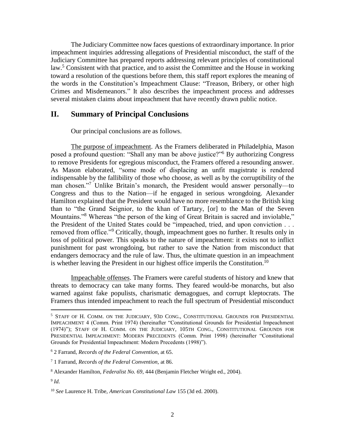The Judiciary Committee now faces questions of extraordinary importance. In prior impeachment inquiries addressing allegations of Presidential misconduct, the staff of the Judiciary Committee has prepared reports addressing relevant principles of constitutional law.<sup>5</sup> Consistent with that practice, and to assist the Committee and the House in working toward a resolution of the questions before them, this staff report explores the meaning of the words in the Constitution's Impeachment Clause: "Treason, Bribery, or other high Crimes and Misdemeanors." It also describes the impeachment process and addresses several mistaken claims about impeachment that have recently drawn public notice.

# <span id="page-4-0"></span>**II. Summary of Principal Conclusions**

Our principal conclusions are as follows.

The purpose of impeachment. As the Framers deliberated in Philadelphia, Mason posed a profound question: "Shall any man be above justice?"<sup>6</sup> By authorizing Congress to remove Presidents for egregious misconduct, the Framers offered a resounding answer. As Mason elaborated, "some mode of displacing an unfit magistrate is rendered indispensable by the fallibility of those who choose, as well as by the corruptibility of the man chosen."<sup>7</sup> Unlike Britain's monarch, the President would answer personally—to Congress and thus to the Nation—if he engaged in serious wrongdoing. Alexander Hamilton explained that the President would have no more resemblance to the British king than to "the Grand Seignior, to the khan of Tartary, [or] to the Man of the Seven Mountains."<sup>8</sup> Whereas "the person of the king of Great Britain is sacred and inviolable," the President of the United States could be "impeached, tried, and upon conviction . . . removed from office."<sup>9</sup> Critically, though, impeachment goes no further. It results only in loss of political power. This speaks to the nature of impeachment: it exists not to inflict punishment for past wrongdoing, but rather to save the Nation from misconduct that endangers democracy and the rule of law. Thus, the ultimate question in an impeachment is whether leaving the President in our highest office imperils the Constitution.<sup>10</sup>

Impeachable offenses. The Framers were careful students of history and knew that threats to democracy can take many forms. They feared would-be monarchs, but also warned against fake populists, charismatic demagogues, and corrupt kleptocrats. The Framers thus intended impeachment to reach the full spectrum of Presidential misconduct

 $\overline{a}$ 

<sup>5</sup> STAFF OF H. COMM. ON THE JUDICIARY, 93D CONG., CONSTITUTIONAL GROUNDS FOR PRESIDENTIAL IMPEACHMENT 4 (Comm. Print 1974) (hereinafter "Constitutional Grounds for Presidential Impeachment (1974)"); STAFF OF H. COMM. ON THE JUDICIARY, 105TH CONG., CONSTITUTIONAL GROUNDS FOR PRESIDENTIAL IMPEACHMENT: MODERN PRECEDENTS (Comm. Print 1998) (hereinafter "Constitutional Grounds for Presidential Impeachment: Modern Precedents (1998)").

<sup>6</sup> 2 Farrand, *Records of the Federal Convention,* at 65.

<sup>7</sup> 1 Farrand, *Records of the Federal Convention,* at 86.

<sup>8</sup> Alexander Hamilton, *Federalist No. 69*, 444 (Benjamin Fletcher Wright ed., 2004).

<sup>9</sup> *Id.*

<sup>10</sup> *See* Laurence H. Tribe, *American Constitutional Law* 155 (3d ed. 2000).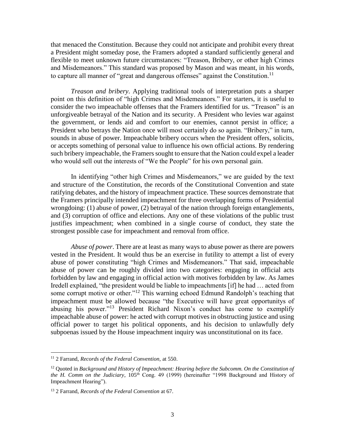that menaced the Constitution. Because they could not anticipate and prohibit every threat a President might someday pose, the Framers adopted a standard sufficiently general and flexible to meet unknown future circumstances: "Treason, Bribery, or other high Crimes and Misdemeanors." This standard was proposed by Mason and was meant, in his words, to capture all manner of "great and dangerous offenses" against the Constitution.<sup>11</sup>

*Treason and bribery*. Applying traditional tools of interpretation puts a sharper point on this definition of "high Crimes and Misdemeanors." For starters, it is useful to consider the two impeachable offenses that the Framers identified for us. "Treason" is an unforgiveable betrayal of the Nation and its security. A President who levies war against the government, or lends aid and comfort to our enemies, cannot persist in office; a President who betrays the Nation once will most certainly do so again. "Bribery," in turn, sounds in abuse of power. Impeachable bribery occurs when the President offers, solicits, or accepts something of personal value to influence his own official actions. By rendering such bribery impeachable, the Framers sought to ensure that the Nation could expel a leader who would sell out the interests of "We the People" for his own personal gain.

In identifying "other high Crimes and Misdemeanors," we are guided by the text and structure of the Constitution, the records of the Constitutional Convention and state ratifying debates, and the history of impeachment practice. These sources demonstrate that the Framers principally intended impeachment for three overlapping forms of Presidential wrongdoing: (1) abuse of power, (2) betrayal of the nation through foreign entanglements, and (3) corruption of office and elections. Any one of these violations of the public trust justifies impeachment; when combined in a single course of conduct, they state the strongest possible case for impeachment and removal from office.

*Abuse of power*. There are at least as many ways to abuse power as there are powers vested in the President. It would thus be an exercise in futility to attempt a list of every abuse of power constituting "high Crimes and Misdemeanors." That said, impeachable abuse of power can be roughly divided into two categories: engaging in official acts forbidden by law and engaging in official action with motives forbidden by law. As James Iredell explained, "the president would be liable to impeachments [if] he had … acted from some corrupt motive or other."<sup>12</sup> This warning echoed Edmund Randolph's teaching that impeachment must be allowed because "the Executive will have great opportunitys of abusing his power."<sup>13</sup> President Richard Nixon's conduct has come to exemplify impeachable abuse of power: he acted with corrupt motives in obstructing justice and using official power to target his political opponents, and his decision to unlawfully defy subpoenas issued by the House impeachment inquiry was unconstitutional on its face.

<sup>11</sup> 2 Farrand, *Records of the Federal Convention,* at 550.

<sup>12</sup> Quoted in *Background and History of Impeachment: Hearing before the Subcomm. On the Constitution of the H. Comm on the Judiciary*, 105th Cong. 49 (1999) (hereinafter "1998 Background and History of Impeachment Hearing").

<sup>13</sup> 2 Farrand, *Records of the Federal Convention* at 67.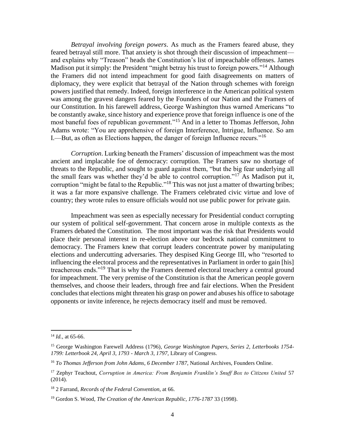*Betrayal involving foreign powers*. As much as the Framers feared abuse, they feared betrayal still more. That anxiety is shot through their discussion of impeachment and explains why "Treason" heads the Constitution's list of impeachable offenses. James Madison put it simply: the President "might betray his trust to foreign powers."<sup>14</sup> Although the Framers did not intend impeachment for good faith disagreements on matters of diplomacy, they were explicit that betrayal of the Nation through schemes with foreign powers justified that remedy. Indeed, foreign interference in the American political system was among the gravest dangers feared by the Founders of our Nation and the Framers of our Constitution. In his farewell address, George Washington thus warned Americans "to be constantly awake, since history and experience prove that foreign influence is one of the most baneful foes of republican government."<sup>15</sup> And in a letter to Thomas Jefferson, John Adams wrote: "You are apprehensive of foreign Interference, Intrigue, Influence. So am I.—But, as often as Elections happen, the danger of foreign Influence recurs."<sup>16</sup>

*Corruption*. Lurking beneath the Framers' discussion of impeachment was the most ancient and implacable foe of democracy: corruption. The Framers saw no shortage of threats to the Republic, and sought to guard against them, "but the big fear underlying all the small fears was whether they'd be able to control corruption."<sup>17</sup> As Madison put it, corruption "might be fatal to the Republic."<sup>18</sup> This was not just a matter of thwarting bribes; it was a far more expansive challenge. The Framers celebrated civic virtue and love of country; they wrote rules to ensure officials would not use public power for private gain.

Impeachment was seen as especially necessary for Presidential conduct corrupting our system of political self-government. That concern arose in multiple contexts as the Framers debated the Constitution. The most important was the risk that Presidents would place their personal interest in re-election above our bedrock national commitment to democracy. The Framers knew that corrupt leaders concentrate power by manipulating elections and undercutting adversaries. They despised King George III, who "resorted to influencing the electoral process and the representatives in Parliament in order to gain [his] treacherous ends."<sup>19</sup> That is why the Framers deemed electoral treachery a central ground for impeachment. The very premise of the Constitution is that the American people govern themselves, and choose their leaders, through free and fair elections. When the President concludes that elections might threaten his grasp on power and abuses his office to sabotage opponents or invite inference, he rejects democracy itself and must be removed.

 $\overline{a}$ 

<sup>14</sup> *Id.,* at 65-66.

<sup>15</sup> George Washington Farewell Address (1796)*, George Washington Papers, Series 2, Letterbooks 1754- 1799: Letterbook 24, April 3, 1793 - March 3, 1797,* Library of Congress.

<sup>16</sup> *To Thomas Jefferson from John Adams*, *6 December 1787*, National Archives, Founders Online.

<sup>17</sup> Zephyr Teachout, *Corruption in America: From Benjamin Franklin's Snuff Box to Citizens United* 57 (2014).

<sup>18</sup> 2 Farrand, *Records of the Federal Convention*, at 66.

<sup>19</sup> Gordon S. Wood, *The Creation of the American Republic, 1776-1787* 33 (1998).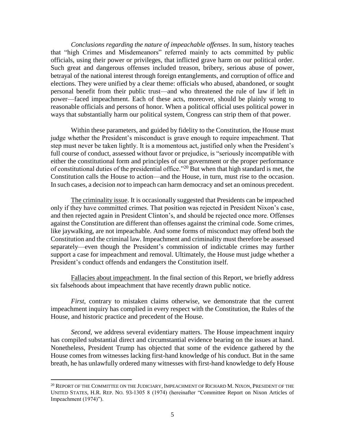*Conclusions regarding the nature of impeachable offenses*. In sum, history teaches that "high Crimes and Misdemeanors" referred mainly to acts committed by public officials, using their power or privileges, that inflicted grave harm on our political order. Such great and dangerous offenses included treason, bribery, serious abuse of power, betrayal of the national interest through foreign entanglements, and corruption of office and elections. They were unified by a clear theme: officials who abused, abandoned, or sought personal benefit from their public trust—and who threatened the rule of law if left in power—faced impeachment. Each of these acts, moreover, should be plainly wrong to reasonable officials and persons of honor. When a political official uses political power in ways that substantially harm our political system, Congress can strip them of that power.

Within these parameters, and guided by fidelity to the Constitution, the House must judge whether the President's misconduct is grave enough to require impeachment. That step must never be taken lightly. It is a momentous act, justified only when the President's full course of conduct, assessed without favor or prejudice, is "seriously incompatible with either the constitutional form and principles of our government or the proper performance of constitutional duties of the presidential office."<sup>20</sup> But when that high standard is met, the Constitution calls the House to action—and the House, in turn, must rise to the occasion. In such cases, a decision *not* to impeach can harm democracy and set an ominous precedent.

The criminality issue. It is occasionally suggested that Presidents can be impeached only if they have committed crimes. That position was rejected in President Nixon's case, and then rejected again in President Clinton's, and should be rejected once more. Offenses against the Constitution are different than offenses against the criminal code. Some crimes, like jaywalking, are not impeachable. And some forms of misconduct may offend both the Constitution and the criminal law. Impeachment and criminality must therefore be assessed separately—even though the President's commission of indictable crimes may further support a case for impeachment and removal. Ultimately, the House must judge whether a President's conduct offends and endangers the Constitution itself.

Fallacies about impeachment. In the final section of this Report, we briefly address six falsehoods about impeachment that have recently drawn public notice.

*First*, contrary to mistaken claims otherwise, we demonstrate that the current impeachment inquiry has complied in every respect with the Constitution, the Rules of the House, and historic practice and precedent of the House.

*Second*, we address several evidentiary matters. The House impeachment inquiry has compiled substantial direct and circumstantial evidence bearing on the issues at hand. Nonetheless, President Trump has objected that some of the evidence gathered by the House comes from witnesses lacking first-hand knowledge of his conduct. But in the same breath, he has unlawfully ordered many witnesses with first-hand knowledge to defy House

 $^{20}$  REPORT OF THE COMMITTEE ON THE JUDICIARY, IMPEACHMENT OF RICHARD M. NIXON, PRESIDENT OF THE UNITED STATES, H.R. REP. NO. 93-1305 8 (1974) (hereinafter "Committee Report on Nixon Articles of Impeachment (1974)").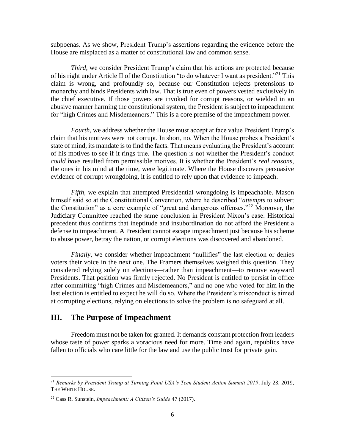subpoenas. As we show, President Trump's assertions regarding the evidence before the House are misplaced as a matter of constitutional law and common sense.

*Third*, we consider President Trump's claim that his actions are protected because of his right under Article II of the Constitution "to do whatever I want as president."<sup>21</sup> This claim is wrong, and profoundly so, because our Constitution rejects pretensions to monarchy and binds Presidents with law. That is true even of powers vested exclusively in the chief executive. If those powers are invoked for corrupt reasons, or wielded in an abusive manner harming the constitutional system, the President is subject to impeachment for "high Crimes and Misdemeanors." This is a core premise of the impeachment power.

*Fourth*, we address whether the House must accept at face value President Trump's claim that his motives were not corrupt. In short, no. When the House probes a President's state of mind, its mandate is to find the facts. That means evaluating the President's account of his motives to see if it rings true. The question is not whether the President's conduct *could have* resulted from permissible motives. It is whether the President's *real reasons*, the ones in his mind at the time, were legitimate. Where the House discovers persuasive evidence of corrupt wrongdoing, it is entitled to rely upon that evidence to impeach.

*Fifth*, we explain that attempted Presidential wrongdoing is impeachable. Mason himself said so at the Constitutional Convention, where he described "*attempts* to subvert the Constitution" as a core example of "great and dangerous offenses."<sup>22</sup> Moreover, the Judiciary Committee reached the same conclusion in President Nixon's case. Historical precedent thus confirms that ineptitude and insubordination do not afford the President a defense to impeachment. A President cannot escape impeachment just because his scheme to abuse power, betray the nation, or corrupt elections was discovered and abandoned.

*Finally*, we consider whether impeachment "nullifies" the last election or denies voters their voice in the next one. The Framers themselves weighed this question. They considered relying solely on elections—rather than impeachment—to remove wayward Presidents. That position was firmly rejected. No President is entitled to persist in office after committing "high Crimes and Misdemeanors," and no one who voted for him in the last election is entitled to expect he will do so. Where the President's misconduct is aimed at corrupting elections, relying on elections to solve the problem is no safeguard at all.

#### <span id="page-8-0"></span>**III. The Purpose of Impeachment**

 $\overline{\phantom{a}}$ 

Freedom must not be taken for granted. It demands constant protection from leaders whose taste of power sparks a voracious need for more. Time and again, republics have fallen to officials who care little for the law and use the public trust for private gain.

<sup>21</sup> *Remarks by President Trump at Turning Point USA's Teen Student Action Summit 2019*, July 23, 2019, THE WHITE HOUSE.

<sup>22</sup> Cass R. Sunstein, *Impeachment: A Citizen's Guide* 47 (2017).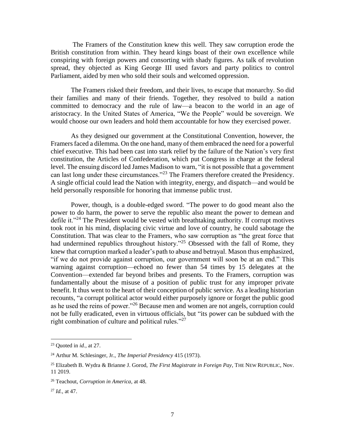The Framers of the Constitution knew this well. They saw corruption erode the British constitution from within. They heard kings boast of their own excellence while conspiring with foreign powers and consorting with shady figures. As talk of revolution spread, they objected as King George III used favors and party politics to control Parliament, aided by men who sold their souls and welcomed oppression.

The Framers risked their freedom, and their lives, to escape that monarchy. So did their families and many of their friends. Together, they resolved to build a nation committed to democracy and the rule of law—a beacon to the world in an age of aristocracy. In the United States of America, "We the People" would be sovereign. We would choose our own leaders and hold them accountable for how they exercised power.

As they designed our government at the Constitutional Convention, however, the Framers faced a dilemma. On the one hand, many of them embraced the need for a powerful chief executive. This had been cast into stark relief by the failure of the Nation's very first constitution, the Articles of Confederation, which put Congress in charge at the federal level. The ensuing discord led James Madison to warn, "it is not possible that a government can last long under these circumstances."<sup>23</sup> The Framers therefore created the Presidency. A single official could lead the Nation with integrity, energy, and dispatch—and would be held personally responsible for honoring that immense public trust.

Power, though, is a double-edged sword. "The power to do good meant also the power to do harm, the power to serve the republic also meant the power to demean and defile it."<sup>24</sup> The President would be vested with breathtaking authority. If corrupt motives took root in his mind, displacing civic virtue and love of country, he could sabotage the Constitution. That was clear to the Framers, who saw corruption as "the great force that had undermined republics throughout history."<sup>25</sup> Obsessed with the fall of Rome, they knew that corruption marked a leader's path to abuse and betrayal. Mason thus emphasized, "if we do not provide against corruption, our government will soon be at an end." This warning against corruption—echoed no fewer than 54 times by 15 delegates at the Convention—extended far beyond bribes and presents. To the Framers, corruption was fundamentally about the misuse of a position of public trust for any improper private benefit. It thus went to the heart of their conception of public service. As a leading historian recounts, "a corrupt political actor would either purposely ignore or forget the public good as he used the reins of power."<sup>26</sup> Because men and women are not angels, corruption could not be fully eradicated, even in virtuous officials, but "its power can be subdued with the right combination of culture and political rules."<sup>27</sup>

<sup>23</sup> Quoted in *id.,* at 27.

<sup>24</sup> Arthur M. Schlesinger, Jr., *The Imperial Presidency* 415 (1973).

<sup>25</sup> Elizabeth B. Wydra & Brianne J. Gorod, *The First Magistrate in Foreign Pay*, THE NEW REPUBLIC, Nov. 11 2019.

<sup>26</sup> Teachout, *Corruption in America,* at 48.

<sup>27</sup> *Id.,* at 47.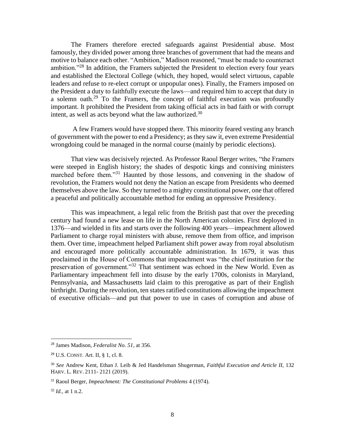The Framers therefore erected safeguards against Presidential abuse. Most famously, they divided power among three branches of government that had the means and motive to balance each other. "Ambition," Madison reasoned, "must be made to counteract ambition."<sup>28</sup> In addition, the Framers subjected the President to election every four years and established the Electoral College (which, they hoped, would select virtuous, capable leaders and refuse to re-elect corrupt or unpopular ones). Finally, the Framers imposed on the President a duty to faithfully execute the laws—and required him to accept that duty in a solemn oath. $29$  To the Framers, the concept of faithful execution was profoundly important. It prohibited the President from taking official acts in bad faith or with corrupt intent, as well as acts beyond what the law authorized.<sup>30</sup>

A few Framers would have stopped there. This minority feared vesting any branch of government with the power to end a Presidency; as they saw it, even extreme Presidential wrongdoing could be managed in the normal course (mainly by periodic elections).

That view was decisively rejected. As Professor Raoul Berger writes, "the Framers were steeped in English history; the shades of despotic kings and conniving ministers marched before them."<sup>31</sup> Haunted by those lessons, and convening in the shadow of revolution, the Framers would not deny the Nation an escape from Presidents who deemed themselves above the law. So they turned to a mighty constitutional power, one that offered a peaceful and politically accountable method for ending an oppressive Presidency.

This was impeachment, a legal relic from the British past that over the preceding century had found a new lease on life in the North American colonies. First deployed in 1376—and wielded in fits and starts over the following 400 years—impeachment allowed Parliament to charge royal ministers with abuse, remove them from office, and imprison them. Over time, impeachment helped Parliament shift power away from royal absolutism and encouraged more politically accountable administration. In 1679, it was thus proclaimed in the House of Commons that impeachment was "the chief institution for the preservation of government."<sup>32</sup> That sentiment was echoed in the New World. Even as Parliamentary impeachment fell into disuse by the early 1700s, colonists in Maryland, Pennsylvania, and Massachusetts laid claim to this prerogative as part of their English birthright. During the revolution, ten states ratified constitutions allowing the impeachment of executive officials—and put that power to use in cases of corruption and abuse of

<sup>28</sup> James Madison, *Federalist No. 51*, at 356.

<sup>29</sup> U.S. CONST. Art. II, § 1, cl. 8.

<sup>30</sup> *See* Andrew Kent, Ethan J. Leib & Jed Handelsman Shugerman, *Faithful Execution and Article II*, 132 HARV. L. REV. 2111- 2121 (2019).

<sup>31</sup> Raoul Berger, *Impeachment: The Constitutional Problems* 4 (1974).

 $32$  *Id.*, at 1 n.2.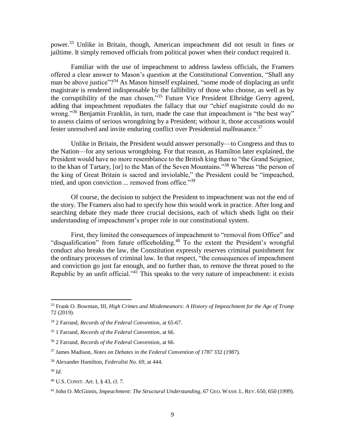power.<sup>33</sup> Unlike in Britain, though, American impeachment did not result in fines or jailtime. It simply removed officials from political power when their conduct required it.

Familiar with the use of impeachment to address lawless officials, the Framers offered a clear answer to Mason's question at the Constitutional Convention, "Shall any man be above justice"?<sup>34</sup> As Mason himself explained, "some mode of displacing an unfit magistrate is rendered indispensable by the fallibility of those who choose, as well as by the corruptibility of the man chosen."<sup>35</sup> Future Vice President Elbridge Gerry agreed, adding that impeachment repudiates the fallacy that our "chief magistrate could do no wrong."<sup>36</sup> Benjamin Franklin, in turn, made the case that impeachment is "the best way" to assess claims of serious wrongdoing by a President; without it, those accusations would fester unresolved and invite enduring conflict over Presidential malfeasance.<sup>37</sup>

Unlike in Britain, the President would answer personally—to Congress and thus to the Nation—for any serious wrongdoing. For that reason, as Hamilton later explained, the President would have no more resemblance to the British king than to "the Grand Seignior, to the khan of Tartary, [or] to the Man of the Seven Mountains."<sup>38</sup> Whereas "the person of the king of Great Britain is sacred and inviolable," the President could be "impeached, tried, and upon conviction ... removed from office."<sup>39</sup>

Of course, the decision to subject the President to impeachment was not the end of the story. The Framers also had to specify how this would work in practice. After long and searching debate they made three crucial decisions, each of which sheds light on their understanding of impeachment's proper role in our constitutional system.

First, they limited the consequences of impeachment to "removal from Office" and "disqualification" from future officeholding.<sup>40</sup> To the extent the President's wrongful conduct also breaks the law, the Constitution expressly reserves criminal punishment for the ordinary processes of criminal law. In that respect, "the consequences of impeachment and conviction go just far enough, and no further than, to remove the threat posed to the Republic by an unfit official."<sup>41</sup> This speaks to the very nature of impeachment: it exists

 $\overline{a}$ 

<sup>33</sup> Frank O. Bowman, III, *High Crimes and Misdemeanors: A History of Impeachment for the Age of Trump* 72 (2019).

<sup>34</sup> 2 Farrand, *Records of the Federal Convention,* at 65-67.

<sup>35</sup> 1 Farrand, *Records of the Federal Convention,* at 66.

<sup>36</sup> 2 Farrand, *Records of the Federal Convention,* at 66.

<sup>37</sup> James Madison, *Notes on Debates in the Federal Convention of 1787* 332 (1987).

<sup>38</sup> Alexander Hamilton, *Federalist No. 69*, at 444.

<sup>39</sup> *Id.*

<sup>40</sup> U.S. CONST. Art. I, § 43, cl. 7.

<sup>41</sup> John O. McGinnis, *Impeachment: The Structural Understanding*, 67 GEO. WASH. L. REV. 650, 650 (1999).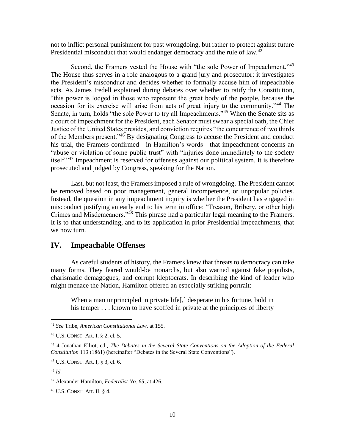not to inflict personal punishment for past wrongdoing, but rather to protect against future Presidential misconduct that would endanger democracy and the rule of law.<sup>42</sup>

Second, the Framers vested the House with "the sole Power of Impeachment."<sup>43</sup> The House thus serves in a role analogous to a grand jury and prosecutor: it investigates the President's misconduct and decides whether to formally accuse him of impeachable acts. As James Iredell explained during debates over whether to ratify the Constitution, "this power is lodged in those who represent the great body of the people, because the occasion for its exercise will arise from acts of great injury to the community."<sup>44</sup> The Senate, in turn, holds "the sole Power to try all Impeachments."<sup>45</sup> When the Senate sits as a court of impeachment for the President, each Senator must swear a special oath, the Chief Justice of the United States presides, and conviction requires "the concurrence of two thirds of the Members present."<sup>46</sup> By designating Congress to accuse the President and conduct his trial, the Framers confirmed—in Hamilton's words—that impeachment concerns an "abuse or violation of some public trust" with "injuries done immediately to the society itself."<sup>47</sup> Impeachment is reserved for offenses against our political system. It is therefore prosecuted and judged by Congress, speaking for the Nation.

Last, but not least, the Framers imposed a rule of wrongdoing. The President cannot be removed based on poor management, general incompetence, or unpopular policies. Instead, the question in any impeachment inquiry is whether the President has engaged in misconduct justifying an early end to his term in office: "Treason, Bribery, or other high Crimes and Misdemeanors."<sup>48</sup> This phrase had a particular legal meaning to the Framers. It is to that understanding, and to its application in prior Presidential impeachments, that we now turn.

# <span id="page-12-0"></span>**IV. Impeachable Offenses**

As careful students of history, the Framers knew that threats to democracy can take many forms. They feared would-be monarchs, but also warned against fake populists, charismatic demagogues, and corrupt kleptocrats. In describing the kind of leader who might menace the Nation, Hamilton offered an especially striking portrait:

When a man unprincipled in private life[,] desperate in his fortune, bold in his temper . . . known to have scoffed in private at the principles of liberty

<sup>45</sup> U.S. CONST. Art. I, § 3, cl. 6.

<sup>42</sup> *See* Tribe, *American Constitutional Law,* at 155.

<sup>43</sup> U.S. CONST. Art. I, § 2, cl. 5.

<sup>44</sup> 4 Jonathan Elliot, ed., *The Debates in the Several State Conventions on the Adoption of the Federal Constitution* 113 (1861) (hereinafter "Debates in the Several State Conventions").

<sup>46</sup> *Id.*

<sup>47</sup> Alexander Hamilton, *Federalist No. 65*, at 426.

<sup>48</sup> U.S. CONST. Art. II, § 4.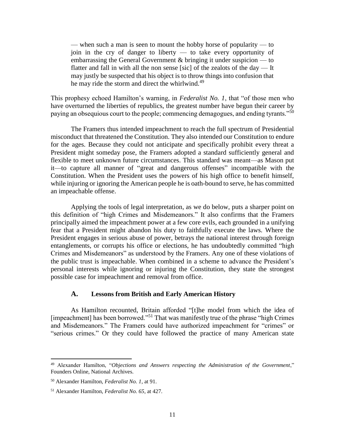— when such a man is seen to mount the hobby horse of popularity — to join in the cry of danger to liberty — to take every opportunity of embarrassing the General Government & bringing it under suspicion — to flatter and fall in with all the non sense [sic] of the zealots of the day — It may justly be suspected that his object is to throw things into confusion that he may ride the storm and direct the whirlwind.<sup>49</sup>

This prophesy echoed Hamilton's warning, in *Federalist No. 1*, that "of those men who have overturned the liberties of republics, the greatest number have begun their career by paying an obsequious court to the people; commencing demagogues, and ending tyrants."<sup>50</sup>

The Framers thus intended impeachment to reach the full spectrum of Presidential misconduct that threatened the Constitution. They also intended our Constitution to endure for the ages. Because they could not anticipate and specifically prohibit every threat a President might someday pose, the Framers adopted a standard sufficiently general and flexible to meet unknown future circumstances. This standard was meant—as Mason put it—to capture all manner of "great and dangerous offenses" incompatible with the Constitution. When the President uses the powers of his high office to benefit himself, while injuring or ignoring the American people he is oath-bound to serve, he has committed an impeachable offense.

Applying the tools of legal interpretation, as we do below, puts a sharper point on this definition of "high Crimes and Misdemeanors." It also confirms that the Framers principally aimed the impeachment power at a few core evils, each grounded in a unifying fear that a President might abandon his duty to faithfully execute the laws. Where the President engages in serious abuse of power, betrays the national interest through foreign entanglements, or corrupts his office or elections, he has undoubtedly committed "high Crimes and Misdemeanors" as understood by the Framers. Any one of these violations of the public trust is impeachable. When combined in a scheme to advance the President's personal interests while ignoring or injuring the Constitution, they state the strongest possible case for impeachment and removal from office.

#### **A. Lessons from British and Early American History**

<span id="page-13-0"></span>As Hamilton recounted, Britain afforded "[t]he model from which the idea of [impeachment] has been borrowed."<sup>51</sup> That was manifestly true of the phrase "high Crimes" and Misdemeanors." The Framers could have authorized impeachment for "crimes" or "serious crimes." Or they could have followed the practice of many American state

 $\overline{a}$ 

<sup>49</sup> Alexander Hamilton, "*Objections and Answers respecting the Administration of the Government*," Founders Online, National Archives.

<sup>50</sup> Alexander Hamilton, *Federalist No. 1*, at 91.

<sup>51</sup> Alexander Hamilton, *Federalist No. 65*, at 427.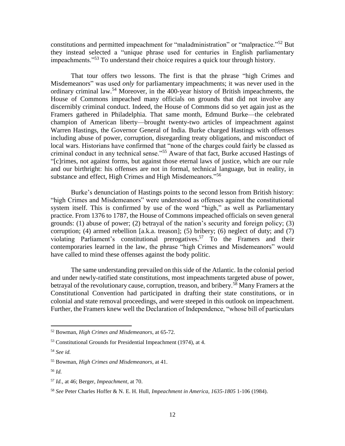constitutions and permitted impeachment for "maladministration" or "malpractice."<sup>52</sup> But they instead selected a "unique phrase used for centuries in English parliamentary impeachments."<sup>53</sup> To understand their choice requires a quick tour through history.

That tour offers two lessons. The first is that the phrase "high Crimes and Misdemeanors" was used *only* for parliamentary impeachments; it was never used in the ordinary criminal law.<sup>54</sup> Moreover, in the 400-year history of British impeachments, the House of Commons impeached many officials on grounds that did not involve any discernibly criminal conduct. Indeed, the House of Commons did so yet again just as the Framers gathered in Philadelphia. That same month, Edmund Burke—the celebrated champion of American liberty—brought twenty-two articles of impeachment against Warren Hastings, the Governor General of India. Burke charged Hastings with offenses including abuse of power, corruption, disregarding treaty obligations, and misconduct of local wars. Historians have confirmed that "none of the charges could fairly be classed as criminal conduct in any technical sense."<sup>55</sup> Aware of that fact, Burke accused Hastings of "[c]rimes, not against forms, but against those eternal laws of justice, which are our rule and our birthright: his offenses are not in formal, technical language, but in reality, in substance and effect, High Crimes and High Misdemeanors."<sup>56</sup>

Burke's denunciation of Hastings points to the second lesson from British history: "high Crimes and Misdemeanors" were understood as offenses against the constitutional system itself. This is confirmed by use of the word "high," as well as Parliamentary practice. From 1376 to 1787, the House of Commons impeached officials on seven general grounds: (1) abuse of power; (2) betrayal of the nation's security and foreign policy; (3) corruption; (4) armed rebellion [a.k.a. treason]; (5) bribery; (6) neglect of duty; and  $(7)$ violating Parliament's constitutional prerogatives.<sup>57</sup> To the Framers and their contemporaries learned in the law, the phrase "high Crimes and Misdemeanors" would have called to mind these offenses against the body politic.

The same understanding prevailed on this side of the Atlantic. In the colonial period and under newly-ratified state constitutions, most impeachments targeted abuse of power, betrayal of the revolutionary cause, corruption, treason, and bribery.<sup>58</sup> Many Framers at the Constitutional Convention had participated in drafting their state constitutions, or in colonial and state removal proceedings, and were steeped in this outlook on impeachment. Further, the Framers knew well the Declaration of Independence, "whose bill of particulars

<sup>52</sup> Bowman, *High Crimes and Misdemeanors*, at 65-72.

<sup>53</sup> Constitutional Grounds for Presidential Impeachment (1974), at 4.

<sup>54</sup> *See id.*

<sup>55</sup> Bowman, *High Crimes and Misdemeanors*, at 41.

<sup>56</sup> *Id.*

<sup>57</sup> *Id.,* at 46; Berger, *Impeachment*, at 70.

<sup>58</sup> *See* Peter Charles Hoffer & N. E. H. Hull, *Impeachment in America, 1635-1805* 1-106 (1984).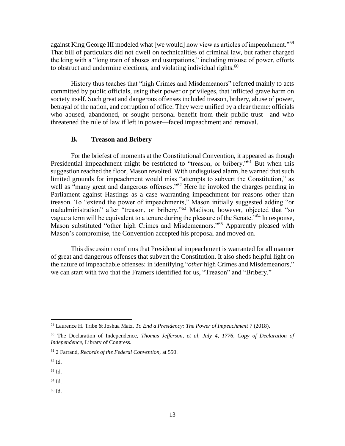against King George III modeled what [we would] now view as articles of impeachment."<sup>59</sup> That bill of particulars did not dwell on technicalities of criminal law, but rather charged the king with a "long train of abuses and usurpations," including misuse of power, efforts to obstruct and undermine elections, and violating individual rights. $^{60}$ 

History thus teaches that "high Crimes and Misdemeanors" referred mainly to acts committed by public officials, using their power or privileges, that inflicted grave harm on society itself. Such great and dangerous offenses included treason, bribery, abuse of power, betrayal of the nation, and corruption of office. They were unified by a clear theme: officials who abused, abandoned, or sought personal benefit from their public trust—and who threatened the rule of law if left in power—faced impeachment and removal.

# **B. Treason and Bribery**

<span id="page-15-0"></span>For the briefest of moments at the Constitutional Convention, it appeared as though Presidential impeachment might be restricted to "treason, or bribery."<sup>61</sup> But when this suggestion reached the floor, Mason revolted. With undisguised alarm, he warned that such limited grounds for impeachment would miss "attempts to subvert the Constitution," as well as "many great and dangerous offenses."<sup>62</sup> Here he invoked the charges pending in Parliament against Hastings as a case warranting impeachment for reasons other than treason. To "extend the power of impeachments," Mason initially suggested adding "or maladministration" after "treason, or bribery." <sup>63</sup> Madison, however, objected that "so vague a term will be equivalent to a tenure during the pleasure of the Senate."<sup>64</sup> In response, Mason substituted "other high Crimes and Misdemeanors."<sup>65</sup> Apparently pleased with Mason's compromise, the Convention accepted his proposal and moved on.

This discussion confirms that Presidential impeachment is warranted for all manner of great and dangerous offenses that subvert the Constitution. It also sheds helpful light on the nature of impeachable offenses: in identifying "*other* high Crimes and Misdemeanors," we can start with two that the Framers identified for us, "Treason" and "Bribery."

<sup>62</sup> Id.

 $\overline{\phantom{a}}$ 

 $65$  Id.

<sup>59</sup> Laurence H. Tribe & Joshua Matz, *To End a Presidency: The Power of Impeachment* 7 (2018).

<sup>60</sup> The Declaration of Independence, *Thomas Jefferson, et al, July 4, 1776, Copy of Declaration of Independence,* Library of Congress.

<sup>61</sup> 2 Farrand, *Records of the Federal Convention,* at 550.

<sup>63</sup> Id.

<sup>64</sup> Id.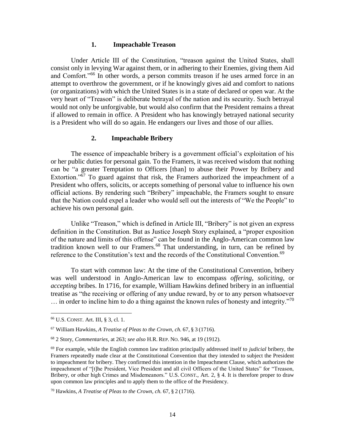#### <span id="page-16-0"></span>**1. Impeachable Treason**

Under Article III of the Constitution, "treason against the United States, shall consist only in levying War against them, or in adhering to their Enemies, giving them Aid and Comfort."<sup>66</sup> In other words, a person commits treason if he uses armed force in an attempt to overthrow the government, or if he knowingly gives aid and comfort to nations (or organizations) with which the United States is in a state of declared or open war. At the very heart of "Treason" is deliberate betrayal of the nation and its security. Such betrayal would not only be unforgivable, but would also confirm that the President remains a threat if allowed to remain in office. A President who has knowingly betrayed national security is a President who will do so again. He endangers our lives and those of our allies.

#### **2. Impeachable Bribery**

<span id="page-16-1"></span>The essence of impeachable bribery is a government official's exploitation of his or her public duties for personal gain. To the Framers, it was received wisdom that nothing can be "a greater Temptation to Officers [than] to abuse their Power by Bribery and Extortion." $\overline{67}$  To guard against that risk, the Framers authorized the impeachment of a President who offers, solicits, or accepts something of personal value to influence his own official actions. By rendering such "Bribery" impeachable, the Framers sought to ensure that the Nation could expel a leader who would sell out the interests of "We the People" to achieve his own personal gain.

Unlike "Treason," which is defined in Article III, "Bribery" is not given an express definition in the Constitution. But as Justice Joseph Story explained, a "proper exposition of the nature and limits of this offense" can be found in the Anglo-American common law tradition known well to our Framers.<sup>68</sup> That understanding, in turn, can be refined by reference to the Constitution's text and the records of the Constitutional Convention.<sup>69</sup>

To start with common law: At the time of the Constitutional Convention, bribery was well understood in Anglo-American law to encompass *offering*, *soliciting*, or *accepting* bribes. In 1716, for example, William Hawkins defined bribery in an influential treatise as "the receiving or offering of any undue reward, by or to any person whatsoever  $\ldots$  in order to incline him to do a thing against the known rules of honesty and integrity."<sup>70</sup>

 $\overline{a}$ 

<sup>66</sup> U.S. CONST. Art. III, § 3, cl. 1.

<sup>67</sup> William Hawkins, *A Treatise of Pleas to the Crown, ch.* 67, § 3 (1716).

<sup>68</sup> 2 Story, *Commentaries*, at 263; *see also* H.R. REP. NO. 946, at 19 (1912).

<sup>69</sup> For example, while the English common law tradition principally addressed itself to *judicial* bribery, the Framers repeatedly made clear at the Constitutional Convention that they intended to subject the President to impeachment for bribery. They confirmed this intention in the Impeachment Clause, which authorizes the impeachment of "[t]he President, Vice President and all civil Officers of the United States" for "Treason, Bribery, or other high Crimes and Misdemeanors." U.S. CONST., Art. 2, § 4. It is therefore proper to draw upon common law principles and to apply them to the office of the Presidency.

<sup>70</sup> Hawkins, *A Treatise of Pleas to the Crown, ch.* 67, § 2 (1716).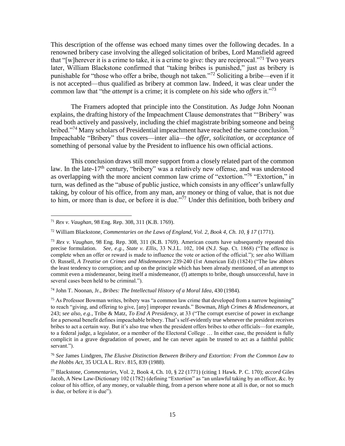This description of the offense was echoed many times over the following decades. In a renowned bribery case involving the alleged solicitation of bribes, Lord Mansfield agreed that "[w]herever it is a crime to take, it is a crime to give: they are reciprocal."<sup>71</sup> Two years later, William Blackstone confirmed that "taking bribes is punished," just as bribery is punishable for "those who offer a bribe, though not taken."<sup>72</sup> Soliciting a bribe—even if it is not accepted—thus qualified as bribery at common law. Indeed, it was clear under the common law that "the *attempt* is a crime; it is complete on *his* side who *offers* it."<sup>73</sup>

The Framers adopted that principle into the Constitution. As Judge John Noonan explains, the drafting history of the Impeachment Clause demonstrates that "'Bribery' was read both actively and passively, including the chief magistrate bribing someone and being bribed."<sup>74</sup> Many scholars of Presidential impeachment have reached the same conclusion.<sup>75</sup> Impeachable "Bribery" thus covers—inter alia—the *offer*, *solicitation*, or *acceptance* of something of personal value by the President to influence his own official actions.

This conclusion draws still more support from a closely related part of the common law. In the late-17<sup>th</sup> century, "bribery" was a relatively new offense, and was understood as overlapping with the more ancient common law crime of "extortion."<sup>76</sup> "Extortion," in turn, was defined as the "abuse of public justice, which consists in any officer's unlawfully taking, by colour of his office, from any man, any money or thing of value, that is not due to him, or more than is due, or before it is due."<sup>77</sup> Under this definition, both bribery *and*

 $\overline{\phantom{a}}$ 

<sup>74</sup> John T. Noonan, Jr., *Bribes: The Intellectual History of a Moral Idea*, 430 (1984).

 $75$  As Professor Bowman writes, bribery was "a common law crime that developed from a narrow beginning" to reach "giving, and offering to give, [any] improper rewards." Bowman, *High Crimes & Misdemeanors*, at 243; *see also, e.g.*, Tribe & Matz, *To End A Presidency*, at 33 ("The corrupt exercise of power in exchange for a personal benefit defines impeachable bribery. That's self-evidently true whenever the president receives bribes to act a certain way. But it's also true when the president offers bribes to other officials—for example, to a federal judge, a legislator, or a member of the Electoral College … In either case, the president is fully complicit in a grave degradation of power, and he can never again be trusted to act as a faithful public servant.").

<sup>76</sup> *See* James Lindgren, *The Elusive Distinction Between Bribery and Extortion: From the Common Law to the Hobbs Act*, 35 UCLA L. REV. 815, 839 (1988).

<sup>71</sup> *Rex v. Vaughan*, 98 Eng. Rep. 308, 311 (K.B. 1769).

<sup>72</sup> William Blackstone, *Commentaries on the Laws of England, Vol. 2, Book 4, Ch. 10, § 17* (1771).

<sup>73</sup> *Rex v. Vaughan*, 98 Eng. Rep. 308, 311 (K.B. 1769). American courts have subsequently repeated this precise formulation. *See, e.g.*, *State v. Ellis*, 33 N.J.L. 102, 104 (N.J. Sup. Ct. 1868) ("The offence is complete when an offer or reward is made to influence the vote or action of the official."); *see also* William O. Russell, *A Treatise on Crimes and Misdemeanors* 239-240 (1st American Ed) (1824) ("The law abhors the least tendency to corruption; and up on the principle which has been already mentioned, of an attempt to commit even a misdemeanor, being itself a misdemeanor, (f) attempts to bribe, though unsuccessful, have in several cases been held to be criminal.").

<sup>77</sup> Blackstone, *Commentaries*, Vol. 2, Book 4, Ch. 10, § 22 (1771) (citing 1 Hawk. P. C. 170); *accord* Giles Jacob, A New Law-Dictionary 102 (1782) (defining "Extortion" as "an unlawful taking by an officer, &c. by colour of his office, of any money, or valuable thing, from a person where none at all is due, or not so much is due, or before it is due").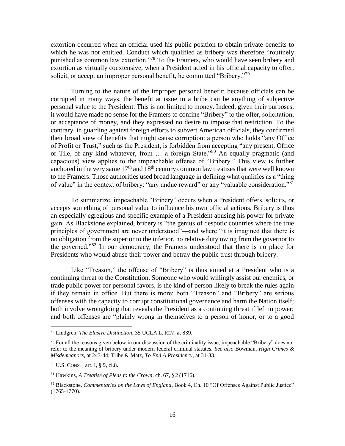extortion occurred when an official used his public position to obtain private benefits to which he was not entitled. Conduct which qualified as bribery was therefore "routinely punished as common law extortion."<sup>78</sup> To the Framers, who would have seen bribery and extortion as virtually coextensive, when a President acted in his official capacity to offer, solicit, or accept an improper personal benefit, he committed "Bribery."<sup>79</sup>

Turning to the nature of the improper personal benefit: because officials can be corrupted in many ways, the benefit at issue in a bribe can be anything of subjective personal value to the President. This is not limited to money. Indeed, given their purposes, it would have made no sense for the Framers to confine "Bribery" to the offer, solicitation, or acceptance of money, and they expressed no desire to impose that restriction. To the contrary, in guarding against foreign efforts to subvert American officials, they confirmed their broad view of benefits that might cause corruption: a person who holds "any Office of Profit or Trust," such as the President, is forbidden from accepting "any present, Office or Tile, of any kind whatever, from … a foreign State."<sup>80</sup> An equally pragmatic (and capacious) view applies to the impeachable offense of "Bribery." This view is further anchored in the very same  $17<sup>th</sup>$  and  $18<sup>th</sup>$  century common law treatises that were well known to the Framers. Those authorities used broad language in defining what qualifies as a "thing of value" in the context of bribery: "any undue reward" or any "valuable consideration."<sup>81</sup>

To summarize, impeachable "Bribery" occurs when a President offers, solicits, or accepts something of personal value to influence his own official actions. Bribery is thus an especially egregious and specific example of a President abusing his power for private gain. As Blackstone explained, bribery is "the genius of despotic countries where the true principles of government are never understood"—and where "it is imagined that there is no obligation from the superior to the inferior, no relative duty owing from the governor to the governed."<sup>82</sup> In our democracy, the Framers understood that there is no place for Presidents who would abuse their power and betray the public trust through bribery.

Like "Treason," the offense of "Bribery" is thus aimed at a President who is a continuing threat to the Constitution. Someone who would willingly assist our enemies, or trade public power for personal favors, is the kind of person likely to break the rules again if they remain in office. But there is more: both "Treason" and "Bribery" are serious offenses with the capacity to corrupt constitutional governance and harm the Nation itself; both involve wrongdoing that reveals the President as a continuing threat if left in power; and both offenses are "plainly wrong in themselves to a person of honor, or to a good

<sup>78</sup> Lindgren, *The Elusive Distinction*, 35 UCLA L. REV. at 839.

 $79$  For all the reasons given below in our discussion of the criminality issue, impeachable "Bribery" does not refer to the meaning of bribery under modern federal criminal statutes. *See also* Bowman, *High Crimes & Misdemeanors*, at 243-44; Tribe & Matz, *To End A Presidency*, at 31-33.

<sup>80</sup> U.S. CONST, art. I, § 9, cl.8.

<sup>81</sup> Hawkins, *A Treatise of Pleas to the Crown*, ch. 67, § 2 (1716).

<sup>82</sup> Blackstone, *Commentaries on the Laws of England*, Book 4, Ch. 10 "Of Offenses Against Public Justice" (1765-1770).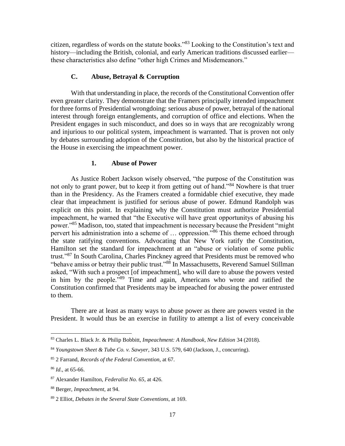citizen, regardless of words on the statute books."<sup>83</sup> Looking to the Constitution's text and history—including the British, colonial, and early American traditions discussed earlier these characteristics also define "other high Crimes and Misdemeanors."

# **C. Abuse, Betrayal & Corruption**

<span id="page-19-0"></span>With that understanding in place, the records of the Constitutional Convention offer even greater clarity. They demonstrate that the Framers principally intended impeachment for three forms of Presidential wrongdoing: serious abuse of power, betrayal of the national interest through foreign entanglements, and corruption of office and elections. When the President engages in such misconduct, and does so in ways that are recognizably wrong and injurious to our political system, impeachment is warranted. That is proven not only by debates surrounding adoption of the Constitution, but also by the historical practice of the House in exercising the impeachment power.

#### **1. Abuse of Power**

<span id="page-19-1"></span>As Justice Robert Jackson wisely observed, "the purpose of the Constitution was not only to grant power, but to keep it from getting out of hand."<sup>84</sup> Nowhere is that truer than in the Presidency. As the Framers created a formidable chief executive, they made clear that impeachment is justified for serious abuse of power. Edmund Randolph was explicit on this point. In explaining why the Constitution must authorize Presidential impeachment, he warned that "the Executive will have great opportunitys of abusing his power."<sup>85</sup> Madison, too, stated that impeachment is necessary because the President "might" pervert his administration into a scheme of ... oppression."<sup>86</sup> This theme echoed through the state ratifying conventions. Advocating that New York ratify the Constitution, Hamilton set the standard for impeachment at an "abuse or violation of some public trust."<sup>87</sup> In South Carolina, Charles Pinckney agreed that Presidents must be removed who "behave amiss or betray their public trust."<sup>88</sup> In Massachusetts, Reverend Samuel Stillman asked, "With such a prospect [of impeachment], who will dare to abuse the powers vested in him by the people."<sup>89</sup> Time and again, Americans who wrote and ratified the Constitution confirmed that Presidents may be impeached for abusing the power entrusted to them.

There are at least as many ways to abuse power as there are powers vested in the President. It would thus be an exercise in futility to attempt a list of every conceivable

<sup>83</sup> Charles L. Black Jr. & Philip Bobbitt, *Impeachment: A Handbook, New Edition* 34 (2018).

<sup>84</sup> *Youngstown Sheet & Tube Co. v. Sawyer*, 343 U.S. 579, 640 (Jackson, J., concurring).

<sup>85</sup> 2 Farrand, *Records of the Federal Convention,* at 67.

<sup>86</sup> *Id*., at 65-66.

<sup>87</sup> Alexander Hamilton, *Federalist No. 65*, at 426.

<sup>88</sup> Berger, *Impeachment*, at 94.

<sup>89</sup> 2 Elliot, *Debates in the Several State Conventions*, at 169.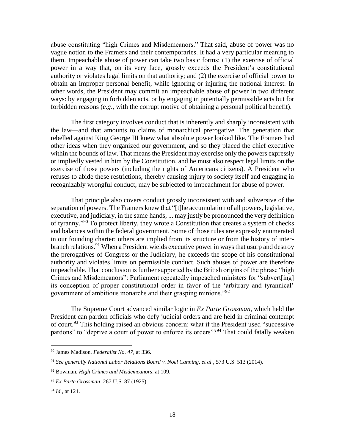abuse constituting "high Crimes and Misdemeanors." That said, abuse of power was no vague notion to the Framers and their contemporaries. It had a very particular meaning to them. Impeachable abuse of power can take two basic forms: (1) the exercise of official power in a way that, on its very face, grossly exceeds the President's constitutional authority or violates legal limits on that authority; and (2) the exercise of official power to obtain an improper personal benefit, while ignoring or injuring the national interest. In other words, the President may commit an impeachable abuse of power in two different ways: by engaging in forbidden acts, or by engaging in potentially permissible acts but for forbidden reasons (*e.g*., with the corrupt motive of obtaining a personal political benefit).

The first category involves conduct that is inherently and sharply inconsistent with the law—and that amounts to claims of monarchical prerogative. The generation that rebelled against King George III knew what absolute power looked like. The Framers had other ideas when they organized our government, and so they placed the chief executive within the bounds of law. That means the President may exercise only the powers expressly or impliedly vested in him by the Constitution, and he must also respect legal limits on the exercise of those powers (including the rights of Americans citizens). A President who refuses to abide these restrictions, thereby causing injury to society itself and engaging in recognizably wrongful conduct, may be subjected to impeachment for abuse of power.

That principle also covers conduct grossly inconsistent with and subversive of the separation of powers. The Framers knew that "[t]he accumulation of all powers, legislative, executive, and judiciary, in the same hands, ... may justly be pronounced the very definition of tyranny."<sup>90</sup> To protect liberty, they wrote a Constitution that creates a system of checks and balances within the federal government. Some of those rules are expressly enumerated in our founding charter; others are implied from its structure or from the history of interbranch relations.<sup>91</sup> When a President wields executive power in ways that usurp and destroy the prerogatives of Congress or the Judiciary, he exceeds the scope of his constitutional authority and violates limits on permissible conduct. Such abuses of power are therefore impeachable. That conclusion is further supported by the British origins of the phrase "high Crimes and Misdemeanors": Parliament repeatedly impeached ministers for "subvert[ing] its conception of proper constitutional order in favor of the 'arbitrary and tyrannical' government of ambitious monarchs and their grasping minions."<sup>92</sup>

The Supreme Court advanced similar logic in *Ex Parte Grossman*, which held the President can pardon officials who defy judicial orders and are held in criminal contempt of court.<sup>93</sup> This holding raised an obvious concern: what if the President used "successive pardons" to "deprive a court of power to enforce its orders"?<sup>94</sup> That could fatally weaken

<sup>90</sup> James Madison, *Federalist No. 47*, at 336.

<sup>91</sup> *See generally National Labor Relations Board v. Noel Canning, et al.*, 573 U.S. 513 (2014).

<sup>92</sup> Bowman, *High Crimes and Misdemeanors*, at 109.

<sup>93</sup> *Ex Parte Grossman*, 267 U.S. 87 (1925).

<sup>94</sup> *Id.,* at 121.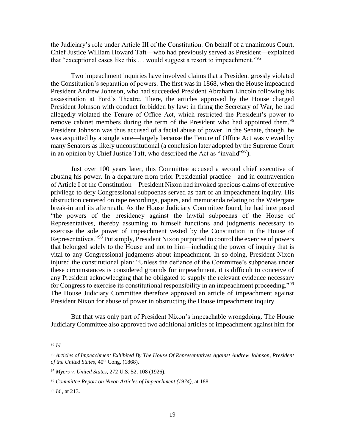the Judiciary's role under Article III of the Constitution. On behalf of a unanimous Court, Chief Justice William Howard Taft—who had previously served as President—explained that "exceptional cases like this … would suggest a resort to impeachment."<sup>95</sup>

Two impeachment inquiries have involved claims that a President grossly violated the Constitution's separation of powers. The first was in 1868, when the House impeached President Andrew Johnson, who had succeeded President Abraham Lincoln following his assassination at Ford's Theatre. There, the articles approved by the House charged President Johnson with conduct forbidden by law: in firing the Secretary of War, he had allegedly violated the Tenure of Office Act, which restricted the President's power to remove cabinet members during the term of the President who had appointed them.<sup>96</sup> President Johnson was thus accused of a facial abuse of power. In the Senate, though, he was acquitted by a single vote—largely because the Tenure of Office Act was viewed by many Senators as likely unconstitutional (a conclusion later adopted by the Supreme Court in an opinion by Chief Justice Taft, who described the Act as "invalid"<sup>97</sup>).

Just over 100 years later, this Committee accused a second chief executive of abusing his power. In a departure from prior Presidential practice—and in contravention of Article I of the Constitution—President Nixon had invoked specious claims of executive privilege to defy Congressional subpoenas served as part of an impeachment inquiry. His obstruction centered on tape recordings, papers, and memoranda relating to the Watergate break-in and its aftermath. As the House Judiciary Committee found, he had interposed "the powers of the presidency against the lawful subpoenas of the House of Representatives, thereby assuming to himself functions and judgments necessary to exercise the sole power of impeachment vested by the Constitution in the House of Representatives."<sup>98</sup> Put simply, President Nixon purported to control the exercise of powers that belonged solely to the House and not to him—including the power of inquiry that is vital to any Congressional judgments about impeachment. In so doing, President Nixon injured the constitutional plan: "Unless the defiance of the Committee's subpoenas under these circumstances is considered grounds for impeachment, it is difficult to conceive of any President acknowledging that he obligated to supply the relevant evidence necessary for Congress to exercise its constitutional responsibility in an impeachment proceeding."<sup>99</sup> The House Judiciary Committee therefore approved an article of impeachment against President Nixon for abuse of power in obstructing the House impeachment inquiry.

But that was only part of President Nixon's impeachable wrongdoing. The House Judiciary Committee also approved two additional articles of impeachment against him for

<sup>95</sup> *Id.*

<sup>96</sup> *Articles of Impeachment Exhibited By The House Of Representatives Against Andrew Johnson, President*  of the United States, 40<sup>th</sup> Cong. (1868).

<sup>97</sup> *Myers v. United States*, 272 U.S. 52, 108 (1926).

<sup>98</sup> *Committee Report on Nixon Articles of Impeachment (1974),* at 188.

<sup>99</sup> *Id.,* at 213.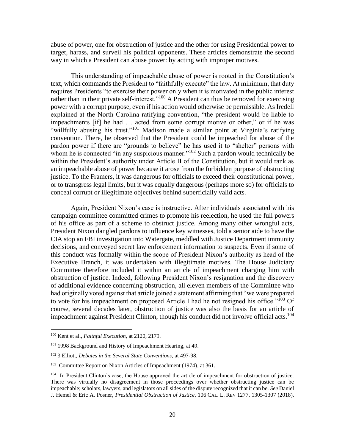abuse of power, one for obstruction of justice and the other for using Presidential power to target, harass, and surveil his political opponents. These articles demonstrate the second way in which a President can abuse power: by acting with improper motives.

This understanding of impeachable abuse of power is rooted in the Constitution's text, which commands the President to "faithfully execute" the law. At minimum, that duty requires Presidents "to exercise their power only when it is motivated in the public interest rather than in their private self-interest."<sup>100</sup> A President can thus be removed for exercising power with a corrupt purpose, even if his action would otherwise be permissible. As Iredell explained at the North Carolina ratifying convention, "the president would be liable to impeachments [if] he had … acted from some corrupt motive or other," or if he was "willfully abusing his trust."<sup>101</sup> Madison made a similar point at Virginia's ratifying convention. There, he observed that the President could be impeached for abuse of the pardon power if there are "grounds to believe" he has used it to "shelter" persons with whom he is connected "in any suspicious manner."<sup>102</sup> Such a pardon would technically be within the President's authority under Article II of the Constitution, but it would rank as an impeachable abuse of power because it arose from the forbidden purpose of obstructing justice. To the Framers, it was dangerous for officials to exceed their constitutional power, or to transgress legal limits, but it was equally dangerous (perhaps more so) for officials to conceal corrupt or illegitimate objectives behind superficially valid acts.

Again, President Nixon's case is instructive. After individuals associated with his campaign committee committed crimes to promote his reelection, he used the full powers of his office as part of a scheme to obstruct justice. Among many other wrongful acts, President Nixon dangled pardons to influence key witnesses, told a senior aide to have the CIA stop an FBI investigation into Watergate, meddled with Justice Department immunity decisions, and conveyed secret law enforcement information to suspects. Even if some of this conduct was formally within the scope of President Nixon's authority as head of the Executive Branch, it was undertaken with illegitimate motives. The House Judiciary Committee therefore included it within an article of impeachment charging him with obstruction of justice. Indeed, following President Nixon's resignation and the discovery of additional evidence concerning obstruction, all eleven members of the Committee who had originally voted against that article joined a statement affirming that "we were prepared to vote for his impeachment on proposed Article I had he not resigned his office." $^{103}$  Of course, several decades later, obstruction of justice was also the basis for an article of impeachment against President Clinton, though his conduct did not involve official acts.<sup>104</sup>

<sup>100</sup> Kent et al., *Faithful Execution*, at 2120, 2179.

<sup>&</sup>lt;sup>101</sup> 1998 Background and History of Impeachment Hearing, at 49.

<sup>102</sup> 3 Elliott, *Debates in the Several State Conventions,* at 497-98.

<sup>103</sup> Committee Report on Nixon Articles of Impeachment (1974)*,* at 361.

<sup>104</sup> In President Clinton's case, the House approved the article of impeachment for obstruction of justice. There was virtually no disagreement in those proceedings over whether obstructing justice can be impeachable; scholars, lawyers, and legislators on all sides of the dispute recognized that it can be. *See* Daniel J. Hemel & Eric A. Posner, *Presidential Obstruction of Justice*, 106 CAL. L. REV 1277, 1305-1307 (2018).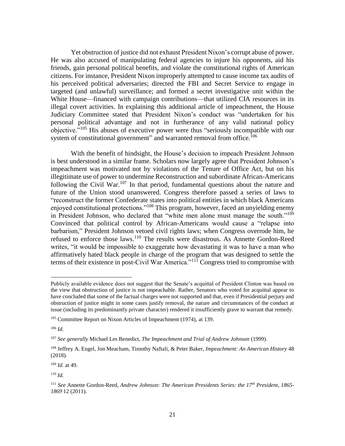Yet obstruction of justice did not exhaust President Nixon's corrupt abuse of power. He was also accused of manipulating federal agencies to injure his opponents, aid his friends, gain personal political benefits, and violate the constitutional rights of American citizens. For instance, President Nixon improperly attempted to cause income tax audits of his perceived political adversaries; directed the FBI and Secret Service to engage in targeted (and unlawful) surveillance; and formed a secret investigative unit within the White House—financed with campaign contributions—that utilized CIA resources in its illegal covert activities. In explaining this additional article of impeachment, the House Judiciary Committee stated that President Nixon's conduct was "undertaken for his personal political advantage and not in furtherance of any valid national policy objective."<sup>105</sup> His abuses of executive power were thus "seriously incompatible with our system of constitutional government" and warranted removal from office.<sup>106</sup>

With the benefit of hindsight, the House's decision to impeach President Johnson is best understood in a similar frame. Scholars now largely agree that President Johnson's impeachment was motivated not by violations of the Tenure of Office Act, but on his illegitimate use of power to undermine Reconstruction and subordinate African-Americans following the Civil War.<sup>107</sup> In that period, fundamental questions about the nature and future of the Union stood unanswered. Congress therefore passed a series of laws to "reconstruct the former Confederate states into political entities in which black Americans enjoyed constitutional protections."<sup>108</sup> This program, however, faced an unyielding enemy in President Johnson, who declared that "white men alone must manage the south."<sup>109</sup> Convinced that political control by African-Americans would cause a "relapse into barbarism," President Johnson vetoed civil rights laws; when Congress overrode him, he refused to enforce those laws.<sup>110</sup> The results were disastrous. As Annette Gordon-Reed writes, "it would be impossible to exaggerate how devastating it was to have a man who affirmatively hated black people in charge of the program that was designed to settle the terms of their existence in post-Civil War America."<sup>111</sup> Congress tried to compromise with

<sup>106</sup> *Id.*

Publicly available evidence does not suggest that the Senate's acquittal of President Clinton was based on the view that obstruction of justice is not impeachable. Rather, Senators who voted for acquittal appear to have concluded that some of the factual charges were not supported and that, even if Presidential perjury and obstruction of justice might in some cases justify removal, the nature and circumstances of the conduct at issue (including its predominantly private character) rendered it insufficiently grave to warrant that remedy.

<sup>105</sup> Committee Report on Nixon Articles of Impeachment (1974), at 139.

<sup>107</sup> *See generally* Michael Les Benedict, *The Impeachment and Trial of Andrew Johnson* (1999).

<sup>108</sup> Jeffrey A. Engel, Jon Meacham, Timothy Naftali, & Peter Baker, *Impeachment: An American History* 48 (2018).

<sup>109</sup> *Id.* at 49.

<sup>110</sup> *Id.*

<sup>111</sup> *See* Annette Gordon-Reed, *Andrew Johnson: The American Presidents Series: the 17th President, 1865- 1869* 12 (2011).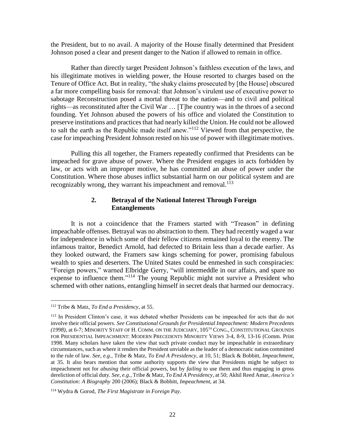the President, but to no avail. A majority of the House finally determined that President Johnson posed a clear and present danger to the Nation if allowed to remain in office.

Rather than directly target President Johnson's faithless execution of the laws, and his illegitimate motives in wielding power, the House resorted to charges based on the Tenure of Office Act. But in reality, "the shaky claims prosecuted by [the House] obscured a far more compelling basis for removal: that Johnson's virulent use of executive power to sabotage Reconstruction posed a mortal threat to the nation—and to civil and political rights—as reconstituted after the Civil War … [T]he country was in the throes of a second founding. Yet Johnson abused the powers of his office and violated the Constitution to preserve institutions and practices that had nearly killed the Union. He could not be allowed to salt the earth as the Republic made itself anew."<sup>112</sup> Viewed from that perspective, the case for impeaching President Johnson rested on his use of power with illegitimate motives.

Pulling this all together, the Framers repeatedly confirmed that Presidents can be impeached for grave abuse of power. Where the President engages in acts forbidden by law, or acts with an improper motive, he has committed an abuse of power under the Constitution. Where those abuses inflict substantial harm on our political system and are recognizably wrong, they warrant his impeachment and removal.<sup>113</sup>

# **2. Betrayal of the National Interest Through Foreign Entanglements**

<span id="page-24-0"></span>It is not a coincidence that the Framers started with "Treason" in defining impeachable offenses. Betrayal was no abstraction to them. They had recently waged a war for independence in which some of their fellow citizens remained loyal to the enemy. The infamous traitor, Benedict Arnold, had defected to Britain less than a decade earlier. As they looked outward, the Framers saw kings scheming for power, promising fabulous wealth to spies and deserters. The United States could be enmeshed in such conspiracies: "Foreign powers," warned Elbridge Gerry, "will intermeddle in our affairs, and spare no expense to influence them."<sup>114</sup> The young Republic might not survive a President who schemed with other nations, entangling himself in secret deals that harmed our democracy.

<sup>112</sup> Tribe & Matz, *To End a Presidency*, at 55.

<sup>&</sup>lt;sup>113</sup> In President Clinton's case, it was debated whether Presidents can be impeached for acts that do not involve their official powers. *See Constitutional Grounds for Presidential Impeachment: Modern Precedents (1998)*, at 6-7; MINORITY STAFF OF H. COMM. ON THE JUDICIARY, 105TH CONG., CONSTITUTIONAL GROUNDS FOR PRESIDENTIAL IMPEACHMENT: MODERN PRECEDENTS MINORITY VIEWS 3-4, 8-9, 13-16 (Comm. Print 1998. Many scholars have taken the view that such private conduct may be impeachable in extraordinary circumstances, such as where it renders the President unviable as the leader of a democratic nation committed to the rule of law. *See, e.g.*, Tribe & Matz, *To End A Presidency*, at 10, 51; Black & Bobbitt, *Impeachment*, at 35. It also bears mention that some authority supports the view that Presidents might be subject to impeachment not for *abusing* their official powers, but by *failing* to use them and thus engaging in gross dereliction of official duty. *See, e.g.*, Tribe & Matz, *To End A Presidency*, at 50; Akhil Reed Amar, *America's Constitution: A Biography* 200 (2006); Black & Bobbitt, *Impeachment*, at 34.

<sup>114</sup> Wydra & Gorod, *The First Magistrate in Foreign Pay*.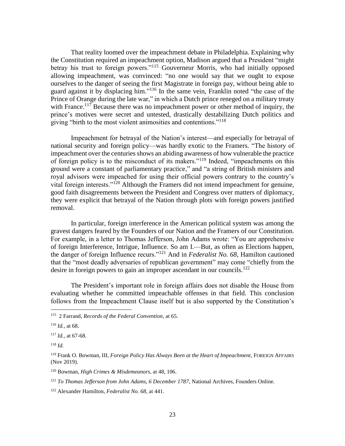That reality loomed over the impeachment debate in Philadelphia. Explaining why the Constitution required an impeachment option, Madison argued that a President "might betray his trust to foreign powers."<sup>115</sup> Gouverneur Morris, who had initially opposed allowing impeachment, was convinced: "no one would say that we ought to expose ourselves to the danger of seeing the first Magistrate in foreign pay, without being able to guard against it by displacing him."<sup>116</sup> In the same vein, Franklin noted "the case of the Prince of Orange during the late war," in which a Dutch prince reneged on a military treaty with France.<sup>117</sup> Because there was no impeachment power or other method of inquiry, the prince's motives were secret and untested, drastically destabilizing Dutch politics and giving "birth to the most violent animosities and contentions."<sup>118</sup>

Impeachment for betrayal of the Nation's interest—and especially for betrayal of national security and foreign policy—was hardly exotic to the Framers. "The history of impeachment over the centuries shows an abiding awareness of how vulnerable the practice of foreign policy is to the misconduct of its makers."<sup>119</sup> Indeed, "impeachments on this ground were a constant of parliamentary practice," and "a string of British ministers and royal advisors were impeached for using their official powers contrary to the country's vital foreign interests."<sup>120</sup> Although the Framers did not intend impeachment for genuine, good faith disagreements between the President and Congress over matters of diplomacy, they were explicit that betrayal of the Nation through plots with foreign powers justified removal.

In particular, foreign interference in the American political system was among the gravest dangers feared by the Founders of our Nation and the Framers of our Constitution. For example, in a letter to Thomas Jefferson, John Adams wrote: "You are apprehensive of foreign Interference, Intrigue, Influence. So am I.—But, as often as Elections happen, the danger of foreign Influence recurs."<sup>121</sup> And in *Federalist No. 68*, Hamilton cautioned that the "most deadly adversaries of republican government" may come "chiefly from the desire in foreign powers to gain an improper ascendant in our councils.<sup>122</sup>

The President's important role in foreign affairs does not disable the House from evaluating whether he committed impeachable offenses in that field. This conclusion follows from the Impeachment Clause itself but is also supported by the Constitution's

<sup>118</sup> *Id.*

 $\overline{\phantom{a}}$ 

<sup>120</sup> Bowman, *High Crimes & Misdemeanors*, at 48, 106.

<sup>115</sup> 2 Farrand, *Records of the Federal Convention*, at 65.

<sup>116</sup> *Id.,* at 68.

<sup>117</sup> *Id.,* at 67-68.

<sup>119</sup> Frank O. Bowman, III, *Foreign Policy Has Always Been at the Heart of Impeachment*, FOREIGN AFFAIRS (Nov 2019).

<sup>121</sup> *To Thomas Jefferson from John Adams, 6 December 1787*, National Archives, Founders Online.

<sup>122</sup> Alexander Hamilton, *Federalist No. 68*, at 441.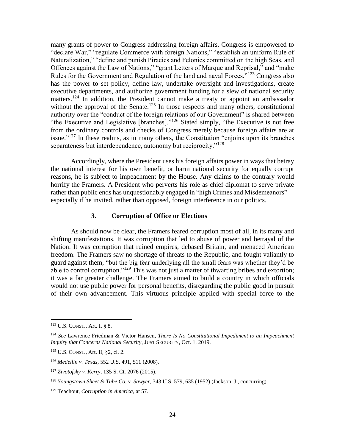many grants of power to Congress addressing foreign affairs. Congress is empowered to "declare War," "regulate Commerce with foreign Nations," "establish an uniform Rule of Naturalization," "define and punish Piracies and Felonies committed on the high Seas, and Offences against the Law of Nations," "grant Letters of Marque and Reprisal," and "make Rules for the Government and Regulation of the land and naval Forces.<sup>"123</sup> Congress also has the power to set policy, define law, undertake oversight and investigations, create executive departments, and authorize government funding for a slew of national security matters.<sup>124</sup> In addition, the President cannot make a treaty or appoint an ambassador without the approval of the Senate.<sup>125</sup> In those respects and many others, constitutional authority over the "conduct of the foreign relations of our Government" is shared between "the Executive and Legislative [branches]."<sup>126</sup> Stated simply, "the Executive is not free from the ordinary controls and checks of Congress merely because foreign affairs are at issue." $127$  In these realms, as in many others, the Constitution "enjoins upon its branches" separateness but interdependence, autonomy but reciprocity."<sup>128</sup>

Accordingly, where the President uses his foreign affairs power in ways that betray the national interest for his own benefit, or harm national security for equally corrupt reasons, he is subject to impeachment by the House. Any claims to the contrary would horrify the Framers. A President who perverts his role as chief diplomat to serve private rather than public ends has unquestionably engaged in "high Crimes and Misdemeanors" especially if he invited, rather than opposed, foreign interference in our politics.

#### **3. Corruption of Office or Elections**

<span id="page-26-0"></span>As should now be clear, the Framers feared corruption most of all, in its many and shifting manifestations. It was corruption that led to abuse of power and betrayal of the Nation. It was corruption that ruined empires, debased Britain, and menaced American freedom. The Framers saw no shortage of threats to the Republic, and fought valiantly to guard against them, "but the big fear underlying all the small fears was whether they'd be able to control corruption."<sup>129</sup> This was not just a matter of thwarting bribes and extortion; it was a far greater challenge. The Framers aimed to build a country in which officials would not use public power for personal benefits, disregarding the public good in pursuit of their own advancement. This virtuous principle applied with special force to the

<sup>123</sup> U.S. CONST., Art. I, § 8.

<sup>124</sup> *See* Lawrence Friedman & Victor Hansen, *There Is No Constitutional Impediment to an Impeachment Inquiry that Concerns National Security*, JUST SECURITY, Oct. 1, 2019.

<sup>125</sup> U.S. CONST., Art. II, §2, cl. 2.

<sup>126</sup> *Medellin v. Texas*, 552 U.S. 491, 511 (2008).

<sup>127</sup> *Zivotofsky v. Kerry*, 135 S. Ct. 2076 (2015).

<sup>128</sup> *Youngstown Sheet & Tube Co. v. Sawyer*, 343 U.S. 579, 635 (1952) (Jackson, J., concurring).

<sup>129</sup> Teachout, *Corruption in America*, at 57.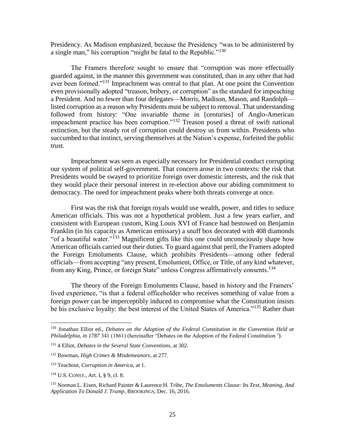Presidency. As Madison emphasized, because the Presidency "was to be administered by a single man," his corruption "might be fatal to the Republic."<sup>130</sup>

The Framers therefore sought to ensure that "corruption was more effectually guarded against, in the manner this government was constituted, than in any other that had ever been formed."<sup>131</sup> Impeachment was central to that plan. At one point the Convention even provisionally adopted "treason, bribery, or corruption" as the standard for impeaching a President. And no fewer than four delegates—Morris, Madison, Mason, and Randolph listed corruption as a reason why Presidents must be subject to removal. That understanding followed from history: "One invariable theme in [centuries] of Anglo-American impeachment practice has been corruption."<sup>132</sup> Treason posed a threat of swift national extinction, but the steady rot of corruption could destroy us from within. Presidents who succumbed to that instinct, serving themselves at the Nation's expense, forfeited the public trust.

Impeachment was seen as especially necessary for Presidential conduct corrupting our system of political self-government. That concern arose in two contexts: the risk that Presidents would be swayed to prioritize foreign over domestic interests, and the risk that they would place their personal interest in re-election above our abiding commitment to democracy. The need for impeachment peaks where both threats converge at once.

First was the risk that foreign royals would use wealth, power, and titles to seduce American officials. This was not a hypothetical problem. Just a few years earlier, and consistent with European custom, King Louis XVI of France had bestowed on Benjamin Franklin (in his capacity as American emissary) a snuff box decorated with 408 diamonds "of a beautiful water."<sup>133</sup> Magnificent gifts like this one could unconsciously shape how American officials carried out their duties. To guard against that peril, the Framers adopted the Foreign Emoluments Clause, which prohibits Presidents—among other federal officials—from accepting "any present, Emolument, Office, or Title, of any kind whatever, from any King, Prince, or foreign State" unless Congress affirmatively consents.<sup>134</sup>

The theory of the Foreign Emoluments Clause, based in history and the Framers' lived experience, "is that a federal officeholder who receives something of value from a foreign power can be imperceptibly induced to compromise what the Constitution insists be his exclusive loyalty: the best interest of the United States of America."<sup>135</sup> Rather than

<sup>130</sup> Jonathan Elliot ed., *Debates on the Adoption of the Federal Constitution in the Convention Held at Philadelphia, in 1787* 341 (1861) (hereinafter "Debates on the Adoption of the Federal Constitution*"*).

<sup>131</sup> 4 Elliot, *Debates in the Several State Conventions*, at 302*.*

<sup>132</sup> Bowman, *High Crimes & Misdemeanors*, at 277.

<sup>133</sup> Teachout, *Corruption in America*, at 1.

<sup>134</sup> U.S. CONST., Art. I, § 9, cl. 8.

<sup>135</sup> Norman L. Eisen, Richard Painter & Laurence H. Tribe, *The Emoluments Clause: Its Text, Meaning, And Application To Donald J. Trump*, BROOKINGS, Dec. 16, 2016.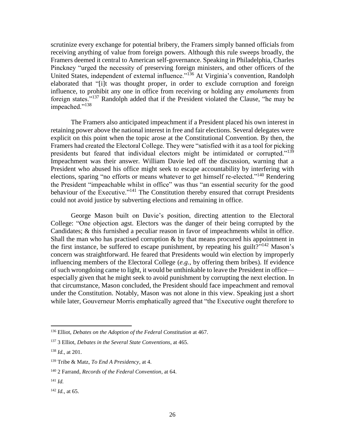scrutinize every exchange for potential bribery, the Framers simply banned officials from receiving anything of value from foreign powers. Although this rule sweeps broadly, the Framers deemed it central to American self-governance. Speaking in Philadelphia, Charles Pinckney "urged the necessity of preserving foreign ministers, and other officers of the United States, independent of external influence."<sup>136</sup> At Virginia's convention, Randolph elaborated that "[i]t was thought proper, in order to exclude corruption and foreign influence, to prohibit any one in office from receiving or holding any *emoluments* from foreign states."<sup>137</sup> Randolph added that if the President violated the Clause, "he may be impeached."<sup>138</sup>

The Framers also anticipated impeachment if a President placed his own interest in retaining power above the national interest in free and fair elections. Several delegates were explicit on this point when the topic arose at the Constitutional Convention. By then, the Framers had created the Electoral College. They were "satisfied with it as a tool for picking presidents but feared that individual electors might be intimidated or corrupted."<sup>139</sup> Impeachment was their answer. William Davie led off the discussion, warning that a President who abused his office might seek to escape accountability by interfering with elections, sparing "no efforts or means whatever to get himself re-elected."<sup>140</sup> Rendering the President "impeachable whilst in office" was thus "an essential security for the good behaviour of the Executive."<sup>141</sup> The Constitution thereby ensured that corrupt Presidents could not avoid justice by subverting elections and remaining in office.

George Mason built on Davie's position, directing attention to the Electoral College: "One objection agst. Electors was the danger of their being corrupted by the Candidates; & this furnished a peculiar reason in favor of impeachments whilst in office. Shall the man who has practised corruption  $\&$  by that means procured his appointment in the first instance, be suffered to escape punishment, by repeating his guilt?"<sup>142</sup> Mason's concern was straightforward. He feared that Presidents would win election by improperly influencing members of the Electoral College (*e.g.*, by offering them bribes). If evidence of such wrongdoing came to light, it would be unthinkable to leave the President in office especially given that he might seek to avoid punishment by corrupting the next election. In that circumstance, Mason concluded, the President should face impeachment and removal under the Constitution. Notably, Mason was not alone in this view. Speaking just a short while later, Gouverneur Morris emphatically agreed that "the Executive ought therefore to

<sup>136</sup> Elliot, *Debates on the Adoption of the Federal Constitution* at 467.

<sup>137</sup> 3 Elliot, *Debates in the Several State Conventions*, at 465.

<sup>138</sup> *Id.,* at 201.

<sup>139</sup> Tribe & Matz, *To End A Presidency*, at 4.

<sup>140</sup> 2 Farrand, *Records of the Federal Convention*, at 64.

<sup>141</sup> *Id.*

<sup>142</sup> *Id.,* at 65.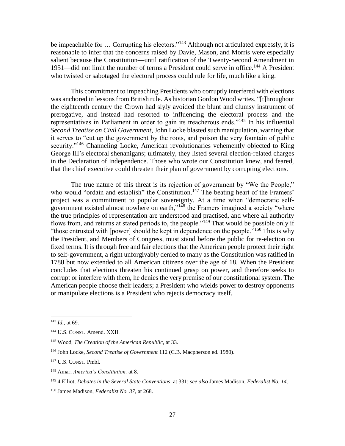be impeachable for ... Corrupting his electors."<sup>143</sup> Although not articulated expressly, it is reasonable to infer that the concerns raised by Davie, Mason, and Morris were especially salient because the Constitution—until ratification of the Twenty-Second Amendment in 1951—did not limit the number of terms a President could serve in office.<sup>144</sup> A President who twisted or sabotaged the electoral process could rule for life, much like a king.

This commitment to impeaching Presidents who corruptly interfered with elections was anchored in lessons from British rule. As historian Gordon Wood writes, "[t]hroughout the eighteenth century the Crown had slyly avoided the blunt and clumsy instrument of prerogative, and instead had resorted to influencing the electoral process and the representatives in Parliament in order to gain its treacherous ends."<sup>145</sup> In his influential *Second Treatise on Civil Government*, John Locke blasted such manipulation, warning that it serves to "cut up the government by the roots, and poison the very fountain of public security."<sup>146</sup> Channeling Locke, American revolutionaries vehemently objected to King George III's electoral shenanigans; ultimately, they listed several election-related charges in the Declaration of Independence. Those who wrote our Constitution knew, and feared, that the chief executive could threaten their plan of government by corrupting elections.

The true nature of this threat is its rejection of government by "We the People," who would "ordain and establish" the Constitution.<sup>147</sup> The beating heart of the Framers' project was a commitment to popular sovereignty. At a time when "democratic selfgovernment existed almost nowhere on earth,"<sup>148</sup> the Framers imagined a society "where the true principles of representation are understood and practised, and where all authority flows from, and returns at stated periods to, the people."<sup>149</sup> That would be possible only if "those entrusted with [power] should be kept in dependence on the people."<sup>150</sup> This is why the President, and Members of Congress, must stand before the public for re-election on fixed terms. It is through free and fair elections that the American people protect their right to self-government, a right unforgivably denied to many as the Constitution was ratified in 1788 but now extended to all American citizens over the age of 18. When the President concludes that elections threaten his continued grasp on power, and therefore seeks to corrupt or interfere with them, he denies the very premise of our constitutional system. The American people choose their leaders; a President who wields power to destroy opponents or manipulate elections is a President who rejects democracy itself.

<sup>143</sup> *Id.,* at 69.

<sup>144</sup> U.S. CONST. Amend. XXII.

<sup>145</sup> Wood, *The Creation of the American Republic,* at 33.

<sup>146</sup> John Locke, *Second Treatise of Government* 112 (C.B. Macpherson ed. 1980).

<sup>147</sup> U.S. CONST. Pmbl.

<sup>148</sup> Amar, *America's Constitution,* at 8.

<sup>149</sup> 4 Elliot, *Debates in the Several State Conventions*, at 331; *see also* James Madison, *Federalist No. 14*.

<sup>150</sup> James Madison, *Federalist No. 37*, at 268.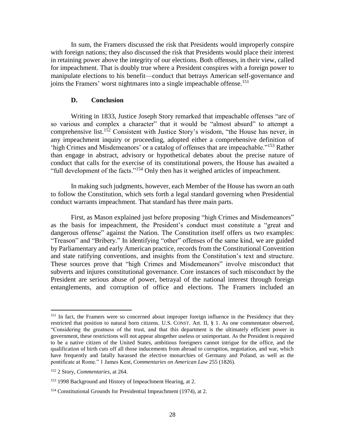In sum, the Framers discussed the risk that Presidents would improperly conspire with foreign nations; they also discussed the risk that Presidents would place their interest in retaining power above the integrity of our elections. Both offenses, in their view, called for impeachment. That is doubly true where a President conspires with a foreign power to manipulate elections to his benefit—conduct that betrays American self-governance and joins the Framers' worst nightmares into a single impeachable offense.<sup>151</sup>

#### **D. Conclusion**

<span id="page-30-0"></span>Writing in 1833, Justice Joseph Story remarked that impeachable offenses "are of so various and complex a character" that it would be "almost absurd" to attempt a comprehensive list.<sup>152</sup> Consistent with Justice Story's wisdom, "the House has never, in any impeachment inquiry or proceeding, adopted either a comprehensive definition of 'high Crimes and Misdemeanors' or a catalog of offenses that are impeachable."<sup>153</sup> Rather than engage in abstract, advisory or hypothetical debates about the precise nature of conduct that calls for the exercise of its constitutional powers, the House has awaited a "full development of the facts."<sup>154</sup> Only then has it weighed articles of impeachment.

In making such judgments, however, each Member of the House has sworn an oath to follow the Constitution, which sets forth a legal standard governing when Presidential conduct warrants impeachment. That standard has three main parts.

First, as Mason explained just before proposing "high Crimes and Misdemeanors" as the basis for impeachment, the President's conduct must constitute a "great and dangerous offense" against the Nation. The Constitution itself offers us two examples: "Treason" and "Bribery." In identifying "other" offenses of the same kind, we are guided by Parliamentary and early American practice, records from the Constitutional Convention and state ratifying conventions, and insights from the Constitution's text and structure. These sources prove that "high Crimes and Misdemeanors" involve misconduct that subverts and injures constitutional governance. Core instances of such misconduct by the President are serious abuse of power, betrayal of the national interest through foreign entanglements, and corruption of office and elections. The Framers included an

l

<sup>&</sup>lt;sup>151</sup> In fact, the Framers were so concerned about improper foreign influence in the Presidency that they restricted that position to natural born citizens. U.S. CONST. Art. II, § 1. As one commentator observed, "Considering the greatness of the trust, and that this department is the ultimately efficient power in government, these restrictions will not appear altogether useless or unimportant. As the President is required to be a native citizen of the United States, ambitious foreigners cannot intrigue for the office, and the qualification of birth cuts off all those inducements from abroad to corruption, negotiation, and war, which have frequently and fatally harassed the elective monarchies of Germany and Poland, as well as the pontificate at Rome." 1 James Kent, *Commentaries on American Law* 255 (1826).

<sup>152</sup> 2 Story, *Commentaries*, at 264.

<sup>153</sup> 1998 Background and History of Impeachment Hearing, at 2.

<sup>154</sup> Constitutional Grounds for Presidential Impeachment (1974), at 2.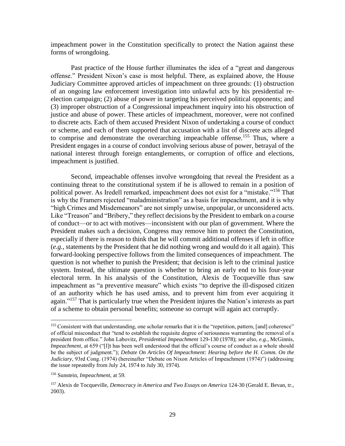impeachment power in the Constitution specifically to protect the Nation against these forms of wrongdoing.

Past practice of the House further illuminates the idea of a "great and dangerous offense." President Nixon's case is most helpful. There, as explained above, the House Judiciary Committee approved articles of impeachment on three grounds: (1) obstruction of an ongoing law enforcement investigation into unlawful acts by his presidential reelection campaign; (2) abuse of power in targeting his perceived political opponents; and (3) improper obstruction of a Congressional impeachment inquiry into his obstruction of justice and abuse of power. These articles of impeachment, moreover, were not confined to discrete acts. Each of them accused President Nixon of undertaking a course of conduct or scheme, and each of them supported that accusation with a list of discrete acts alleged to comprise and demonstrate the overarching impeachable offense.<sup>155</sup> Thus, where a President engages in a course of conduct involving serious abuse of power, betrayal of the national interest through foreign entanglements, or corruption of office and elections, impeachment is justified.

Second, impeachable offenses involve wrongdoing that reveal the President as a continuing threat to the constitutional system if he is allowed to remain in a position of political power. As Iredell remarked, impeachment does not exist for a "mistake."<sup>156</sup> That is why the Framers rejected "maladministration" as a basis for impeachment, and it is why "high Crimes and Misdemeanors" are not simply unwise, unpopular, or unconsidered acts. Like "Treason" and "Bribery," they reflect decisions by the President to embark on a course of conduct—or to act with motives—inconsistent with our plan of government. Where the President makes such a decision, Congress may remove him to protect the Constitution, especially if there is reason to think that he will commit additional offenses if left in office (*e.g.*, statements by the President that he did nothing wrong and would do it all again). This forward-looking perspective follows from the limited consequences of impeachment. The question is not whether to punish the President; that decision is left to the criminal justice system. Instead, the ultimate question is whether to bring an early end to his four-year electoral term. In his analysis of the Constitution, Alexis de Tocqueville thus saw impeachment as "a preventive measure" which exists "to deprive the ill-disposed citizen of an authority which he has used amiss, and to prevent him from ever acquiring it again."<sup>157</sup> That is particularly true when the President injures the Nation's interests as part of a scheme to obtain personal benefits; someone so corrupt will again act corruptly.

 $\overline{a}$ 

<sup>&</sup>lt;sup>155</sup> Consistent with that understanding, one scholar remarks that it is the "repetition, pattern, [and] coherence" of official misconduct that "tend to establish the requisite degree of seriousness warranting the removal of a president from office." John Labovitz, *Presidential Impeachment* 129-130 (1978); *see also, e.g.*, McGinnis, *Impeachment*, at 659 ("[I]t has been well understood that the official's course of conduct as a whole should be the subject of judgment."); *Debate On Articles Of Impeachment: Hearing before the H. Comm. On the Judiciary*, 93rd Cong. (1974) (hereinafter "Debate on Nixon Articles of Impeachment (1974)") (addressing the issue repeatedly from July 24, 1974 to July 30, 1974).

<sup>156</sup> Sunstein, *Impeachment,* at 59.

<sup>157</sup> Alexis de Tocqueville, *Democracy in America and Two Essays on America* 124-30 (Gerald E. Bevan, tr., 2003).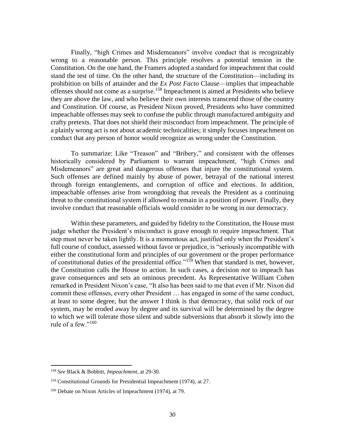Finally, "high Crimes and Misdemeanors" involve conduct that is recognizably wrong to a reasonable person. This principle resolves a potential tension in the Constitution. On the one hand, the Framers adopted a standard for impeachment that could stand the test of time. On the other hand, the structure of the Constitution—including its prohibition on bills of attainder and the *Ex Post Facto* Clause—implies that impeachable offenses should not come as a surprise.<sup>158</sup> Impeachment is aimed at Presidents who believe they are above the law, and who believe their own interests transcend those of the country and Constitution. Of course, as President Nixon proved, Presidents who have committed impeachable offenses may seek to confuse the public through manufactured ambiguity and crafty pretexts. That does not shield their misconduct from impeachment. The principle of a plainly wrong act is not about academic technicalities; it simply focuses impeachment on conduct that any person of honor would recognize as wrong under the Constitution.

To summarize: Like "Treason" and "Bribery," and consistent with the offenses historically considered by Parliament to warrant impeachment, "high Crimes and Misdemeanors" are great and dangerous offenses that injure the constitutional system. Such offenses are defined mainly by abuse of power, betrayal of the national interest through foreign entanglements, and corruption of office and elections. In addition, impeachable offenses arise from wrongdoing that reveals the President as a continuing threat to the constitutional system if allowed to remain in a position of power. Finally, they involve conduct that reasonable officials would consider to be wrong in our democracy.

Within these parameters, and guided by fidelity to the Constitution, the House must judge whether the President's misconduct is grave enough to require impeachment. That step must never be taken lightly. It is a momentous act, justified only when the President's full course of conduct, assessed without favor or prejudice, is "seriously incompatible with either the constitutional form and principles of our government or the proper performance of constitutional duties of the presidential office."<sup>159</sup> When that standard is met, however, the Constitution calls the House to action. In such cases, a decision *not* to impeach has grave consequences and sets an ominous precedent. As Representative William Cohen remarked in President Nixon's case, "It also has been said to me that even if Mr. Nixon did commit these offenses, every other President … has engaged in some of the same conduct, at least to some degree, but the answer I think is that democracy, that solid rock of our system, may be eroded away by degree and its survival will be determined by the degree to which we will tolerate those silent and subtle subversions that absorb it slowly into the rule of a few." $160$ 

<sup>158</sup> *See* Black & Bobbitt, *Impeachment,* at 29-30.

<sup>159</sup> Constitutional Grounds for Presidential Impeachment (1974)*,* at 27.

<sup>&</sup>lt;sup>160</sup> Debate on Nixon Articles of Impeachment (1974), at 79.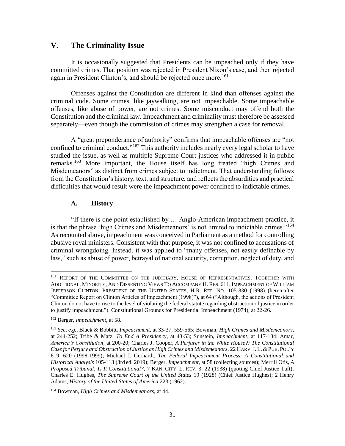# <span id="page-33-0"></span>**V. The Criminality Issue**

It is occasionally suggested that Presidents can be impeached only if they have committed crimes. That position was rejected in President Nixon's case, and then rejected again in President Clinton's, and should be rejected once more.<sup>161</sup>

Offenses against the Constitution are different in kind than offenses against the criminal code. Some crimes, like jaywalking, are not impeachable. Some impeachable offenses, like abuse of power, are not crimes. Some misconduct may offend both the Constitution and the criminal law. Impeachment and criminality must therefore be assessed separately—even though the commission of crimes may strengthen a case for removal.

A "great preponderance of authority" confirms that impeachable offenses are "not confined to criminal conduct."<sup>162</sup> This authority includes nearly every legal scholar to have studied the issue, as well as multiple Supreme Court justices who addressed it in public remarks.<sup>163</sup> More important, the House itself has long treated "high Crimes and Misdemeanors" as distinct from crimes subject to indictment. That understanding follows from the Constitution's history, text, and structure, and reflects the absurdities and practical difficulties that would result were the impeachment power confined to indictable crimes.

#### **A. History**

<span id="page-33-1"></span>"If there is one point established by … Anglo-American impeachment practice, it is that the phrase 'high Crimes and Misdemeanors' is not limited to indictable crimes."<sup>164</sup> As recounted above, impeachment was conceived in Parliament as a method for controlling abusive royal ministers. Consistent with that purpose, it was not confined to accusations of criminal wrongdoing. Instead, it was applied to "many offenses, not easily definable by law," such as abuse of power, betrayal of national security, corruption, neglect of duty, and

l

<sup>&</sup>lt;sup>161</sup> REPORT OF THE COMMITTEE ON THE JUDICIARY, HOUSE OF REPRESENTATIVES, TOGETHER WITH ADDITIONAL, MINORITY, AND DISSENTING VIEWS TO ACCOMPANY H. RES. 611, IMPEACHMENT OF WILLIAM JEFFERSON CLINTON, PRESIDENT OF THE UNITED STATES, H.R. REP. NO. 105-830 (1998) (hereinafter "Committee Report on Clinton Articles of Impeachment (1998)"), at 64 ("Although, the actions of President Clinton do not have to rise to the level of violating the federal statute regarding obstruction of justice in order to justify impeachment."). Constitutional Grounds for Presidential Impeachment (1974), at 22-26.

<sup>162</sup> Berger, *Impeachment*, at 58.

<sup>163</sup> *See, e.g.*, Black & Bobbitt, *Impeachment*, at 33-37, 559-565; Bowman, *High Crimes and Misdemeanors*, at 244-252; Tribe & Matz, *To End A Presidency*, at 43-53; Sunstein, *Impeachment*, at 117-134; Amar, *America's Constitution*, at 200-20; Charles J. Cooper, *A Perjurer in the White House?: The Constitutional Case for Perjury and Obstruction of Justice as High Crimes and Misdemeanors*, 22 HARV.J. L. &PUB. POL'Y 619, 620 (1998-1999); Michael J. Gerhardt, *The Federal Impeachment Process: A Constitutional and Historical Analysis* 105-113 (3rd ed. 2019); Berger, *Impeachment*, at 58 (collecting sources); Merrill Otis, *A Proposed Tribunal: Is It Constitutional?*, 7 KAN. CITY. L. REV. 3, 22 (1938) (quoting Chief Justice Taft); Charles E. Hughes, *The Supreme Court of the United States* 19 (1928) (Chief Justice Hughes); 2 Henry Adams, *History of the United States of America* 223 (1962).

<sup>164</sup> Bowman, *High Crimes and Misdemeanors,* at 44.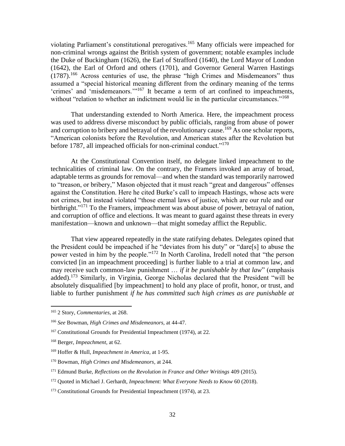violating Parliament's constitutional prerogatives.<sup>165</sup> Many officials were impeached for non-criminal wrongs against the British system of government; notable examples include the Duke of Buckingham (1626), the Earl of Strafford (1640), the Lord Mayor of London (1642), the Earl of Orford and others (1701), and Governor General Warren Hastings  $(1787)$ <sup>166</sup> Across centuries of use, the phrase "high Crimes and Misdemeanors" thus assumed a "special historical meaning different from the ordinary meaning of the terms 'crimes' and 'misdemeanors.'"<sup>167</sup> It became a term of art confined to impeachments, without "relation to whether an indictment would lie in the particular circumstances."<sup>168</sup>

That understanding extended to North America. Here, the impeachment process was used to address diverse misconduct by public officials, ranging from abuse of power and corruption to bribery and betrayal of the revolutionary cause.<sup>169</sup> As one scholar reports, "American colonists before the Revolution, and American states after the Revolution but before 1787, all impeached officials for non-criminal conduct."<sup>170</sup>

At the Constitutional Convention itself, no delegate linked impeachment to the technicalities of criminal law. On the contrary, the Framers invoked an array of broad, adaptable terms as grounds for removal—and when the standard was temporarily narrowed to "treason, or bribery," Mason objected that it must reach "great and dangerous" offenses against the Constitution. Here he cited Burke's call to impeach Hastings, whose acts were not crimes, but instead violated "those eternal laws of justice, which are our rule and our birthright."<sup>171</sup> To the Framers, impeachment was about abuse of power, betrayal of nation, and corruption of office and elections. It was meant to guard against these threats in every manifestation—known and unknown—that might someday afflict the Republic.

That view appeared repeatedly in the state ratifying debates. Delegates opined that the President could be impeached if he "deviates from his duty" or "dare[s] to abuse the power vested in him by the people."<sup>172</sup> In North Carolina, Iredell noted that "the person convicted [in an impeachment proceeding] is further liable to a trial at common law, and may receive such common-law punishment … *if it be punishable by that law*" (emphasis added).<sup>173</sup> Similarly, in Virginia, George Nicholas declared that the President "will be absolutely disqualified [by impeachment] to hold any place of profit, honor, or trust, and liable to further punishment *if he has committed such high crimes as are punishable at* 

<sup>165</sup> 2 Story, *Commentaries*, at 268.

<sup>166</sup> *See* Bowman, *High Crimes and Misdemeanors,* at 44-47.

<sup>167</sup> Constitutional Grounds for Presidential Impeachment (1974), at 22*.*

<sup>168</sup> Berger, *Impeachment*, at 62.

<sup>169</sup> Hoffer & Hull, *Impeachment in America*, at 1-95.

<sup>170</sup> Bowman, *High Crimes and Misdemeanors,* at 244.

<sup>171</sup> Edmund Burke, *Reflections on the Revolution in France and Other Writings* 409 (2015).

<sup>172</sup> Quoted in Michael J. Gerhardt, *Impeachment: What Everyone Needs to Know* 60 (2018).

<sup>&</sup>lt;sup>173</sup> Constitutional Grounds for Presidential Impeachment (1974), at 23.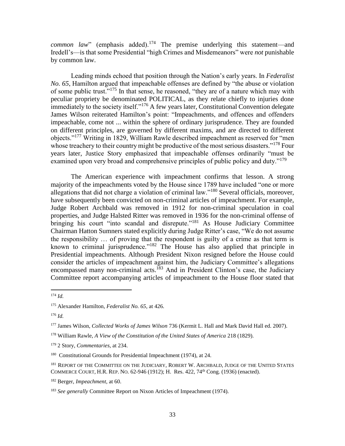*common law*" (emphasis added).<sup>174</sup> The premise underlying this statement—and Iredell's—is that some Presidential "high Crimes and Misdemeanors" were *not* punishable by common law.

Leading minds echoed that position through the Nation's early years. In *Federalist No. 65*, Hamilton argued that impeachable offenses are defined by "the abuse or violation of some public trust."<sup>175</sup> In that sense, he reasoned, "they are of a nature which may with peculiar propriety be denominated POLITICAL, as they relate chiefly to injuries done immediately to the society itself."<sup>176</sup> A few years later, Constitutional Convention delegate James Wilson reiterated Hamilton's point: "Impeachments, and offences and offenders impeachable, come not ... within the sphere of ordinary jurisprudence. They are founded on different principles, are governed by different maxims, and are directed to different objects."<sup>177</sup> Writing in 1829, William Rawle described impeachment as reserved for "men whose treachery to their country might be productive of the most serious disasters."<sup>178</sup> Four years later, Justice Story emphasized that impeachable offenses ordinarily "must be examined upon very broad and comprehensive principles of public policy and duty."<sup>179</sup>

The American experience with impeachment confirms that lesson. A strong majority of the impeachments voted by the House since 1789 have included "one or more allegations that did not charge a violation of criminal law."<sup>180</sup> Several officials, moreover, have subsequently been convicted on non-criminal articles of impeachment. For example, Judge Robert Archbald was removed in 1912 for non-criminal speculation in coal properties, and Judge Halsted Ritter was removed in 1936 for the non-criminal offense of bringing his court "into scandal and disrepute."<sup>181</sup> As House Judiciary Committee Chairman Hatton Sumners stated explicitly during Judge Ritter's case, "We do not assume the responsibility … of proving that the respondent is guilty of a crime as that term is known to criminal jurisprudence."<sup>182</sup> The House has also applied that principle in Presidential impeachments. Although President Nixon resigned before the House could consider the articles of impeachment against him, the Judiciary Committee's allegations encompassed many non-criminal acts.<sup>183</sup> And in President Clinton's case, the Judiciary Committee report accompanying articles of impeachment to the House floor stated that

l

<sup>176</sup> *Id.*

<sup>174</sup> *Id.*

<sup>175</sup> Alexander Hamilton, *Federalist No. 65*, at 426.

<sup>177</sup> James Wilson, *Collected Works of James Wilson* 736 (Kermit L. Hall and Mark David Hall ed. 2007).

<sup>178</sup> William Rawle, *A View of the Constitution of the United States of America* 218 (1829).

<sup>179</sup> 2 Story, *Commentaries*, at 234.

<sup>&</sup>lt;sup>180</sup> Constitutional Grounds for Presidential Impeachment (1974), at 24.

<sup>&</sup>lt;sup>181</sup> REPORT OF THE COMMITTEE ON THE JUDICIARY, ROBERT W. ARCHBALD, JUDGE OF THE UNITED STATES COMMERCE COURT, H.R. REP. NO. 62-946 (1912); H. Res. 422, 74th Cong. (1936) (enacted).

<sup>182</sup> Berger, *Impeachment*, at 60.

<sup>183</sup> *See generally* Committee Report on Nixon Articles of Impeachment (1974).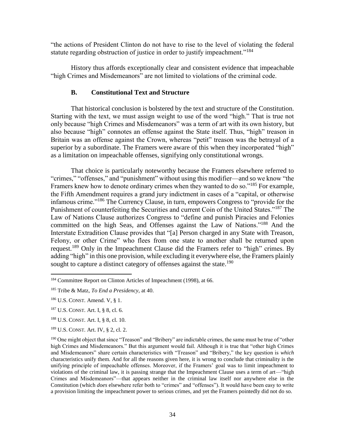"the actions of President Clinton do not have to rise to the level of violating the federal statute regarding obstruction of justice in order to justify impeachment."<sup>184</sup>

History thus affords exceptionally clear and consistent evidence that impeachable "high Crimes and Misdemeanors" are not limited to violations of the criminal code.

#### **B. Constitutional Text and Structure**

<span id="page-36-0"></span>That historical conclusion is bolstered by the text and structure of the Constitution. Starting with the text, we must assign weight to use of the word "high." That is true not only because "high Crimes and Misdemeanors" was a term of art with its own history, but also because "high" connotes an offense against the State itself. Thus, "high" treason in Britain was an offense against the Crown, whereas "petit" treason was the betrayal of a superior by a subordinate. The Framers were aware of this when they incorporated "high" as a limitation on impeachable offenses, signifying only constitutional wrongs.

That choice is particularly noteworthy because the Framers elsewhere referred to "crimes," "offenses," and "punishment" without using this modifier—and so we know "the Framers knew how to denote ordinary crimes when they wanted to do so."<sup>185</sup> For example, the Fifth Amendment requires a grand jury indictment in cases of a "capital, or otherwise infamous crime."<sup>186</sup> The Currency Clause, in turn, empowers Congress to "provide for the Punishment of counterfeiting the Securities and current Coin of the United States."<sup>187</sup> The Law of Nations Clause authorizes Congress to "define and punish Piracies and Felonies committed on the high Seas, and Offenses against the Law of Nations."<sup>188</sup> And the Interstate Extradition Clause provides that "[a] Person charged in any State with Treason, Felony, or other Crime" who flees from one state to another shall be returned upon request.<sup>189</sup> Only in the Impeachment Clause did the Framers refer to "high" crimes. By adding "high" in this one provision, while excluding it everywhere else, the Framers plainly sought to capture a distinct category of offenses against the state.<sup>190</sup>

<sup>184</sup> Committee Report on Clinton Articles of Impeachment (1998), at 66.

<sup>185</sup> Tribe & Matz, *To End a Presidency,* at 40.

<sup>186</sup> U.S. CONST. Amend. V, § 1.

<sup>187</sup> U.S. CONST. Art. I, § 8, cl. 6.

<sup>188</sup> U.S. CONST. Art. I, § 8, cl. 10.

<sup>189</sup> U.S. CONST. Art. IV, § 2, cl. 2.

<sup>&</sup>lt;sup>190</sup> One might object that since "Treason" and "Bribery" are indictable crimes, the same must be true of "other high Crimes and Misdemeanors." But this argument would fail. Although it is true that "other high Crimes and Misdemeanors" share certain characteristics with "Treason" and "Bribery," the key question is *which* characteristics unify them. And for all the reasons given here, it is wrong to conclude that criminality is the unifying principle of impeachable offenses. Moreover, if the Framers' goal was to limit impeachment to violations of the criminal law, it is passing strange that the Impeachment Clause uses a term of art—"high Crimes and Misdemeanors"—that appears neither in the criminal law itself nor anywhere else in the Constitution (which *does* elsewhere refer both to "crimes" and "offenses"). It would have been easy to write a provision limiting the impeachment power to serious crimes, and yet the Framers pointedly did not do so.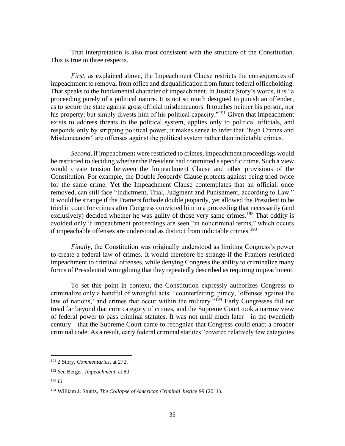That interpretation is also most consistent with the structure of the Constitution. This is true in three respects.

*First*, as explained above, the Impeachment Clause restricts the consequences of impeachment to removal from office and disqualification from future federal officeholding. That speaks to the fundamental character of impeachment. In Justice Story's words, it is "a proceeding purely of a political nature. It is not so much designed to punish an offender, as to secure the state against gross official misdemeanors. It touches neither his person, nor his property; but simply divests him of his political capacity."<sup>191</sup> Given that impeachment exists to address threats to the political system, applies only to political officials, and responds only by stripping political power, it makes sense to infer that "high Crimes and Misdemeanors" are offenses against the political system rather than indictable crimes.

*Second*, if impeachment were restricted to crimes, impeachment proceedings would be restricted to deciding whether the President had committed a specific crime. Such a view would create tension between the Impeachment Clause and other provisions of the Constitution. For example, the Double Jeopardy Clause protects against being tried twice for the same crime. Yet the Impeachment Clause contemplates that an official, once removed, can still face "Indictment, Trial, Judgment and Punishment, according to Law." It would be strange if the Framers forbade double jeopardy, yet allowed the President to be tried in court for crimes after Congress convicted him in a proceeding that necessarily (and exclusively) decided whether he was guilty of those very same crimes.<sup>192</sup> That oddity is avoided only if impeachment proceedings are seen "in noncriminal terms," which occurs if impeachable offenses are understood as distinct from indictable crimes.<sup>193</sup>

*Finally*, the Constitution was originally understood as limiting Congress's power to create a federal law of crimes. It would therefore be strange if the Framers restricted impeachment to criminal offenses, while denying Congress the ability to criminalize many forms of Presidential wrongdoing that they repeatedly described as requiring impeachment.

To set this point in context, the Constitution expressly authorizes Congress to criminalize only a handful of wrongful acts: "counterfeiting, piracy, 'offenses against the law of nations,' and crimes that occur within the military."<sup>194</sup> Early Congresses did not tread far beyond that core category of crimes, and the Supreme Court took a narrow view of federal power to pass criminal statutes. It was not until much later—in the twentieth century—that the Supreme Court came to recognize that Congress could enact a broader criminal code. As a result, early federal criminal statutes "covered relatively few categories

 $\overline{a}$ 

<sup>191</sup> 2 Story, *Commentaries,* at 272.

<sup>192</sup> *See* Berger, *Impeachment*, at 80.

<sup>193</sup> *Id.*

<sup>194</sup> William J. Stuntz, *The Collapse of American Criminal Justice* 99 (2011).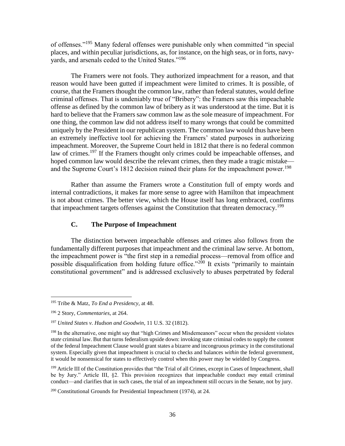of offenses."<sup>195</sup> Many federal offenses were punishable only when committed "in special places, and within peculiar jurisdictions, as, for instance, on the high seas, or in forts, navyyards, and arsenals ceded to the United States."<sup>196</sup>

The Framers were not fools. They authorized impeachment for a reason, and that reason would have been gutted if impeachment were limited to crimes. It is possible, of course, that the Framers thought the common law, rather than federal statutes, would define criminal offenses. That is undeniably true of "Bribery": the Framers saw this impeachable offense as defined by the common law of bribery as it was understood at the time. But it is hard to believe that the Framers saw common law as the sole measure of impeachment. For one thing, the common law did not address itself to many wrongs that could be committed uniquely by the President in our republican system. The common law would thus have been an extremely ineffective tool for achieving the Framers' stated purposes in authorizing impeachment. Moreover, the Supreme Court held in 1812 that there is no federal common law of crimes.<sup>197</sup> If the Framers thought only crimes could be impeachable offenses, and hoped common law would describe the relevant crimes, then they made a tragic mistake and the Supreme Court's 1812 decision ruined their plans for the impeachment power.<sup>198</sup>

Rather than assume the Framers wrote a Constitution full of empty words and internal contradictions, it makes far more sense to agree with Hamilton that impeachment is not about crimes. The better view, which the House itself has long embraced, confirms that impeachment targets offenses against the Constitution that threaten democracy.<sup>199</sup>

# **C. The Purpose of Impeachment**

<span id="page-38-0"></span>The distinction between impeachable offenses and crimes also follows from the fundamentally different purposes that impeachment and the criminal law serve. At bottom, the impeachment power is "the first step in a remedial process—removal from office and possible disqualification from holding future office."<sup>200</sup> It exists "primarily to maintain constitutional government" and is addressed exclusively to abuses perpetrated by federal

<sup>195</sup> Tribe & Matz, *To End a Presidency,* at 48.

<sup>196</sup> 2 Story, *Commentaries*, at 264.

<sup>197</sup> *United States v. Hudson and Goodwin*, 11 U.S. 32 (1812).

<sup>&</sup>lt;sup>198</sup> In the alternative, one might say that "high Crimes and Misdemeanors" occur when the president violates *state* criminal law. But that turns federalism upside down: invoking state criminal codes to supply the content of the federal Impeachment Clause would grant states a bizarre and incongruous primacy in the constitutional system. Especially given that impeachment is crucial to checks and balances *within* the federal government, it would be nonsensical for states to effectively control when this power may be wielded by Congress.

<sup>&</sup>lt;sup>199</sup> Article III of the Constitution provides that "the Trial of all Crimes, except in Cases of Impeachment, shall be by Jury." Article III, §2. This provision recognizes that impeachable conduct *may* entail criminal conduct—and clarifies that in such cases, the trial of an impeachment still occurs in the Senate, not by jury.

 $200$  Constitutional Grounds for Presidential Impeachment (1974), at 24.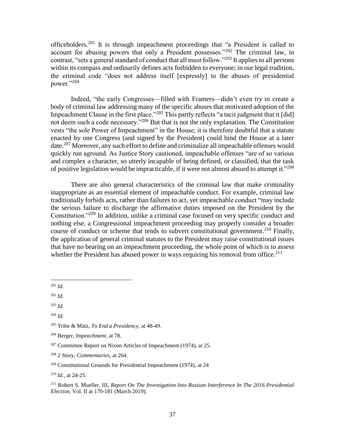officeholders.<sup>201</sup> It is through impeachment proceedings that "a President is called to account for abusing powers that only a President possesses."<sup>202</sup> The criminal law, in contrast, "sets a general standard of conduct that all must follow."<sup>203</sup> It applies to all persons within its compass and ordinarily defines acts forbidden to everyone; in our legal tradition, the criminal code "does not address itself [expressly] to the abuses of presidential power."<sup>204</sup>

Indeed, "the early Congresses—filled with Framers—didn't even *try* to create a body of criminal law addressing many of the specific abuses that motivated adoption of the Impeachment Clause in the first place."<sup>205</sup> This partly reflects "a tacit judgment that it [did] not deem such a code necessary."<sup>206</sup> But that is not the only explanation. The Constitution vests "the sole Power of Impeachment" in the House; it is therefore doubtful that a statute enacted by one Congress (and signed by the President) could bind the House at a later date.<sup>207</sup> Moreover, any such effort to define and criminalize all impeachable offenses would quickly run aground. As Justice Story cautioned, impeachable offenses "are of so various and complex a character, so utterly incapable of being defined, or classified, that the task of positive legislation would be impracticable, if it were not almost absurd to attempt it."<sup>208</sup>

There are also general characteristics of the criminal law that make criminality inappropriate as an essential element of impeachable conduct. For example, criminal law traditionally forbids acts, rather than failures to act, yet impeachable conduct "may include the serious failure to discharge the affirmative duties imposed on the President by the Constitution."<sup>209</sup> In addition, unlike a criminal case focused on very specific conduct and nothing else, a Congressional impeachment proceeding may properly consider a broader course of conduct or scheme that tends to subvert constitutional government.<sup>210</sup> Finally, the application of general criminal statutes to the President may raise constitutional issues that have no bearing on an impeachment proceeding, the whole point of which is to assess whether the President has abused power in ways requiring his removal from office.<sup>211</sup>

<sup>201</sup> *Id.*

<sup>202</sup> *Id.*

<sup>203</sup> *Id.*

<sup>204</sup> *Id.*

<sup>205</sup> Tribe & Matz, *To End a Presidency,* at 48-49.

<sup>206</sup> Berger, *Impeachment*, at 78.

 $207$  Committee Report on Nixon Articles of Impeachment (1974), at 25.

<sup>208</sup> 2 Story, *Commentaries*, at 264.

<sup>209</sup> Constitutional Grounds for Presidential Impeachment (1974), at 24

<sup>210</sup> *Id.,* at 24-25.

<sup>211</sup> Robert S. Mueller, III, *Report On The Investigation Into Russian Interference In The 2016 Presidential Election,* Vol. II at 170-181 (March 2019).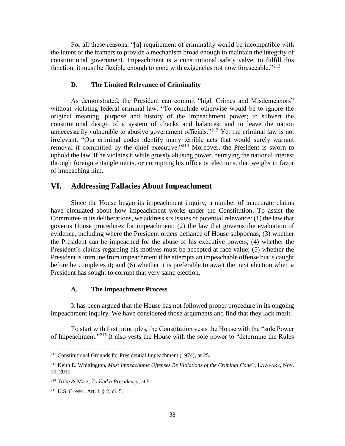For all these reasons, "[a] requirement of criminality would be incompatible with the intent of the framers to provide a mechanism broad enough to maintain the integrity of constitutional government. Impeachment is a constitutional safety valve; to fulfill this function, it must be flexible enough to cope with exigencies not now foreseeable. $"^{212}$ 

#### **D. The Limited Relevance of Criminality**

<span id="page-40-0"></span>As demonstrated, the President can commit "high Crimes and Misdemeanors" without violating federal criminal law. "To conclude otherwise would be to ignore the original meaning, purpose and history of the impeachment power; to subvert the constitutional design of a system of checks and balances; and to leave the nation unnecessarily vulnerable to abusive government officials."<sup>213</sup> Yet the criminal law is not irrelevant. "Our criminal codes identify many terrible acts that would surely warrant removal if committed by the chief executive."<sup>214</sup> Moreover, the President is sworn to uphold the law. If he violates it while grossly abusing power, betraying the national interest through foreign entanglements, or corrupting his office or elections, that weighs in favor of impeaching him.

# <span id="page-40-1"></span>**VI. Addressing Fallacies About Impeachment**

Since the House began its impeachment inquiry, a number of inaccurate claims have circulated about how impeachment works under the Constitution. To assist the Committee in its deliberations, we address six issues of potential relevance: (1) the law that governs House procedures for impeachment; (2) the law that governs the evaluation of evidence, including where the President orders defiance of House subpoenas; (3) whether the President can be impeached for the abuse of his executive powers; (4) whether the President's claims regarding his motives must be accepted at face value; (5) whether the President is immune from impeachment if he attempts an impeachable offense but is caught before he completes it; and (6) whether it is preferable to await the next election when a President has sought to corrupt that very same election.

#### **A. The Impeachment Process**

<span id="page-40-2"></span>It has been argued that the House has not followed proper procedure in its ongoing impeachment inquiry. We have considered those arguments and find that they lack merit.

To start with first principles, the Constitution vests the House with the "sole Power of Impeachment."<sup>215</sup> It also vests the House with the sole power to "determine the Rules

<sup>212</sup> Constitutional Grounds for Presidential Impeachment (1974), at 25.

<sup>213</sup> Keith E. Whittington, *Must Impeachable Offenses Be Violations of the Criminal Code?,* LAWFARE, Nov. 19, 2019.

<sup>214</sup> Tribe & Matz, *To End a Presidency,* at 51.

<sup>215</sup> U.S. CONST. Art. I, § 2, cl. 5.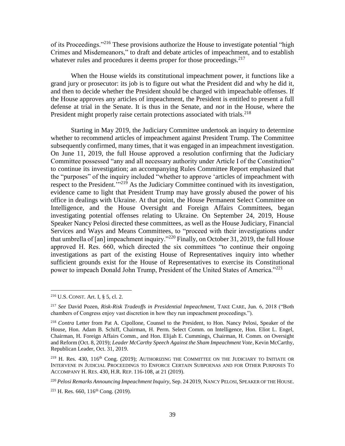of its Proceedings."<sup>216</sup> These provisions authorize the House to investigate potential "high Crimes and Misdemeanors," to draft and debate articles of impeachment, and to establish whatever rules and procedures it deems proper for those proceedings.<sup>217</sup>

When the House wields its constitutional impeachment power, it functions like a grand jury or prosecutor: its job is to figure out what the President did and why he did it, and then to decide whether the President should be charged with impeachable offenses. If the House approves any articles of impeachment, the President is entitled to present a full defense at trial in the Senate. It is thus in the Senate, and *not* in the House, where the President might properly raise certain protections associated with trials.<sup>218</sup>

Starting in May 2019, the Judiciary Committee undertook an inquiry to determine whether to recommend articles of impeachment against President Trump. The Committee subsequently confirmed, many times, that it was engaged in an impeachment investigation. On June 11, 2019, the full House approved a resolution confirming that the Judiciary Committee possessed "any and all necessary authority under Article I of the Constitution" to continue its investigation; an accompanying Rules Committee Report emphasized that the "purposes" of the inquiry included "whether to approve 'articles of impeachment with respect to the President.<sup>'"219</sup> As the Judiciary Committee continued with its investigation, evidence came to light that President Trump may have grossly abused the power of his office in dealings with Ukraine. At that point, the House Permanent Select Committee on Intelligence, and the House Oversight and Foreign Affairs Committees, began investigating potential offenses relating to Ukraine. On September 24, 2019, House Speaker Nancy Pelosi directed these committees, as well as the House Judiciary, Financial Services and Ways and Means Committees, to "proceed with their investigations under that umbrella of [an] impeachment inquiry."<sup>220</sup> Finally, on October 31, 2019, the full House approved H. Res. 660, which directed the six committees "to continue their ongoing investigations as part of the existing House of Representatives inquiry into whether sufficient grounds exist for the House of Representatives to exercise its Constitutional power to impeach Donald John Trump, President of the United States of America."<sup>221</sup>

<sup>216</sup> U.S. CONST. Art. I, § 5, cl. 2.

<sup>217</sup> *See* David Pozen, *Risk-Risk Tradeoffs in Presidential Impeachment*, TAKE CARE, Jun. 6, 2018 ("Both chambers of Congress enjoy vast discretion in how they run impeachment proceedings.").

<sup>218</sup> *Contra* Letter from Pat A. Cipollone, Counsel to the President, to Hon. Nancy Pelosi, Speaker of the House, Hon. Adam B. Schiff, Chairman, H. Perm. Select Comm. on Intelligence, Hon. Eliot L. Engel, Chairman, H. Foreign Affairs Comm., and Hon. Elijah E. Cummings, Chairman, H. Comm. on Oversight and Reform (Oct. 8, 2019); *Leader McCarthy Speech Against the Sham Impeachment Vote*, Kevin McCarthy, Republican Leader, Oct. 31, 2019.

 $219$  H. Res. 430, 116<sup>th</sup> Cong. (2019); AUTHORIZING THE COMMITTEE ON THE JUDICIARY TO INITIATE OR INTERVENE IN JUDICIAL PROCEEDINGS TO ENFORCE CERTAIN SUBPOENAS AND FOR OTHER PURPOSES TO ACCOMPANY H. RES. 430, H.R. REP. 116-108, at 21 (2019).

<sup>220</sup> *Pelosi Remarks Announcing Impeachment Inquiry,* Sep. 24 2019, NANCY PELOSI, SPEAKER OF THE HOUSE.

 $221$  H. Res. 660,  $116^{th}$  Cong. (2019).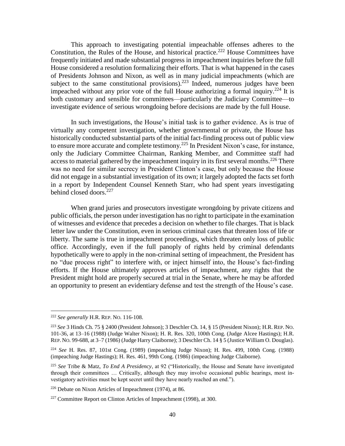This approach to investigating potential impeachable offenses adheres to the Constitution, the Rules of the House, and historical practice.<sup>222</sup> House Committees have frequently initiated and made substantial progress in impeachment inquiries before the full House considered a resolution formalizing their efforts. That is what happened in the cases of Presidents Johnson and Nixon, as well as in many judicial impeachments (which are subject to the same constitutional provisions).<sup>223</sup> Indeed, numerous judges have been impeached without any prior vote of the full House authorizing a formal inquiry.<sup>224</sup> It is both customary and sensible for committees—particularly the Judiciary Committee—to investigate evidence of serious wrongdoing before decisions are made by the full House.

In such investigations, the House's initial task is to gather evidence. As is true of virtually any competent investigation, whether governmental or private, the House has historically conducted substantial parts of the initial fact-finding process out of public view to ensure more accurate and complete testimony.<sup>225</sup> In President Nixon's case, for instance, only the Judiciary Committee Chairman, Ranking Member, and Committee staff had access to material gathered by the impeachment inquiry in its first several months.<sup>226</sup> There was no need for similar secrecy in President Clinton's case, but only because the House did not engage in a substantial investigation of its own; it largely adopted the facts set forth in a report by Independent Counsel Kenneth Starr, who had spent years investigating behind closed doors. $227$ 

When grand juries and prosecutors investigate wrongdoing by private citizens and public officials, the person under investigation has no right to participate in the examination of witnesses and evidence that precedes a decision on whether to file charges. That is black letter law under the Constitution, even in serious criminal cases that threaten loss of life or liberty. The same is true in impeachment proceedings, which threaten only loss of public office. Accordingly, even if the full panoply of rights held by criminal defendants hypothetically were to apply in the non-criminal setting of impeachment, the President has no "due process right" to interfere with, or inject himself into, the House's fact-finding efforts. If the House ultimately approves articles of impeachment, any rights that the President might hold are properly secured at trial in the Senate, where he may be afforded an opportunity to present an evidentiary defense and test the strength of the House's case.

l

<sup>222</sup> *See generally* H.R. REP. NO. 116-108.

<sup>223</sup> *See* 3 Hinds Ch. 75 § 2400 (President Johnson); 3 Deschler Ch. 14, § 15 (President Nixon); H.R. REP. NO. 101-36, at 13–16 (1988) (Judge Walter Nixon); H. R. Res. 320, 100th Cong. (Judge Alcee Hastings); H.R. REP. NO. 99-688, at 3–7 (1986) (Judge Harry Claiborne); 3 Deschler Ch. 14 § 5 (Justice William O. Douglas).

<sup>224</sup> *See* H. Res. 87, 101st Cong. (1989) (impeaching Judge Nixon); H. Res. 499, 100th Cong. (1988) (impeaching Judge Hastings); H. Res. 461, 99th Cong. (1986) (impeaching Judge Claiborne).

<sup>225</sup> *See* Tribe & Matz, *To End A Presidency*, at 92 ("Historically, the House and Senate have investigated through their committees … Critically, although they may involve occasional public hearings, most investigatory activities must be kept secret until they have nearly reached an end.").

<sup>226</sup> Debate on Nixon Articles of Impeachment (1974), at 86.

<sup>&</sup>lt;sup>227</sup> Committee Report on Clinton Articles of Impeachment (1998), at 300.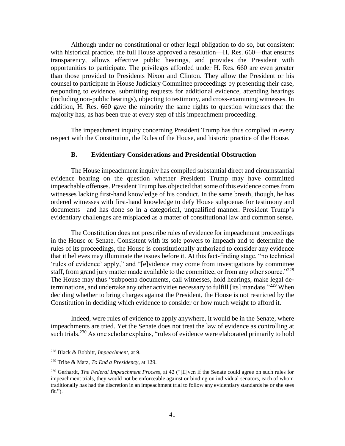Although under no constitutional or other legal obligation to do so, but consistent with historical practice, the full House approved a resolution—H. Res. 660—that ensures transparency, allows effective public hearings, and provides the President with opportunities to participate. The privileges afforded under H. Res. 660 are even greater than those provided to Presidents Nixon and Clinton. They allow the President or his counsel to participate in House Judiciary Committee proceedings by presenting their case, responding to evidence, submitting requests for additional evidence, attending hearings (including non-public hearings), objecting to testimony, and cross-examining witnesses. In addition, H. Res. 660 gave the minority the same rights to question witnesses that the majority has, as has been true at every step of this impeachment proceeding.

The impeachment inquiry concerning President Trump has thus complied in every respect with the Constitution, the Rules of the House, and historic practice of the House.

#### **B. Evidentiary Considerations and Presidential Obstruction**

<span id="page-43-0"></span>The House impeachment inquiry has compiled substantial direct and circumstantial evidence bearing on the question whether President Trump may have committed impeachable offenses. President Trump has objected that some of this evidence comes from witnesses lacking first-hand knowledge of his conduct. In the same breath, though, he has ordered witnesses with first-hand knowledge to defy House subpoenas for testimony and documents—and has done so in a categorical, unqualified manner. President Trump's evidentiary challenges are misplaced as a matter of constitutional law and common sense.

The Constitution does not prescribe rules of evidence for impeachment proceedings in the House or Senate. Consistent with its sole powers to impeach and to determine the rules of its proceedings, the House is constitutionally authorized to consider any evidence that it believes may illuminate the issues before it. At this fact-finding stage, "no technical 'rules of evidence' apply," and "[e]vidence may come from investigations by committee staff, from grand jury matter made available to the committee, or from any other source."<sup>228</sup> The House may thus "subpoena documents, call witnesses, hold hearings, make legal determinations, and undertake any other activities necessary to fulfill [its] mandate."<sup>229</sup> When deciding whether to bring charges against the President, the House is not restricted by the Constitution in deciding which evidence to consider or how much weight to afford it.

Indeed, were rules of evidence to apply anywhere, it would be in the Senate, where impeachments are tried. Yet the Senate does not treat the law of evidence as controlling at such trials.<sup>230</sup> As one scholar explains, "rules of evidence were elaborated primarily to hold

<sup>228</sup> Black & Bobbitt, *Impeachment*, at 9.

<sup>229</sup> Tribe & Matz, *To End a Presidency*, at 129.

<sup>230</sup> Gerhardt, *The Federal Impeachment Process*, at 42 ("[E]ven if the Senate could agree on such rules for impeachment trials, they would not be enforceable against or binding on individual senators, each of whom traditionally has had the discretion in an impeachment trial to follow any evidentiary standards he or she sees fit.").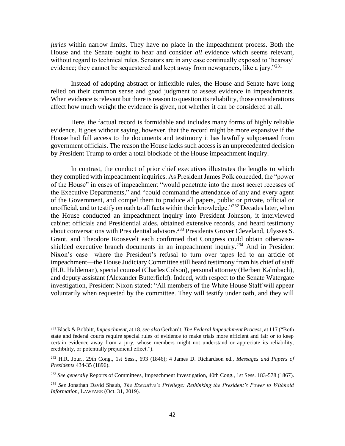*juries* within narrow limits. They have no place in the impeachment process. Both the House and the Senate ought to hear and consider *all* evidence which seems relevant, without regard to technical rules. Senators are in any case continually exposed to 'hearsay' evidence; they cannot be sequestered and kept away from newspapers, like a jury." $^{231}$ 

Instead of adopting abstract or inflexible rules, the House and Senate have long relied on their common sense and good judgment to assess evidence in impeachments. When evidence is relevant but there is reason to question its reliability, those considerations affect how much weight the evidence is given, not whether it can be considered at all.

Here, the factual record is formidable and includes many forms of highly reliable evidence. It goes without saying, however, that the record might be more expansive if the House had full access to the documents and testimony it has lawfully subpoenaed from government officials. The reason the House lacks such access is an unprecedented decision by President Trump to order a total blockade of the House impeachment inquiry.

In contrast, the conduct of prior chief executives illustrates the lengths to which they complied with impeachment inquiries. As President James Polk conceded, the "power of the House" in cases of impeachment "would penetrate into the most secret recesses of the Executive Departments," and "could command the attendance of any and every agent of the Government, and compel them to produce all papers, public or private, official or unofficial, and to testify on oath to all facts within their knowledge." $^{232}$  Decades later, when the House conducted an impeachment inquiry into President Johnson, it interviewed cabinet officials and Presidential aides, obtained extensive records, and heard testimony about conversations with Presidential advisors.<sup>233</sup> Presidents Grover Cleveland, Ulysses S. Grant, and Theodore Roosevelt each confirmed that Congress could obtain otherwiseshielded executive branch documents in an impeachment inquiry.<sup>234</sup> And in President Nixon's case—where the President's refusal to turn over tapes led to an article of impeachment—the House Judiciary Committee still heard testimony from his chief of staff (H.R. Haldeman), special counsel (Charles Colson), personal attorney (Herbert Kalmbach), and deputy assistant (Alexander Butterfield). Indeed, with respect to the Senate Watergate investigation, President Nixon stated: "All members of the White House Staff will appear voluntarily when requested by the committee. They will testify under oath, and they will

<sup>231</sup> Black & Bobbitt, *Impeachment*, at 18. *see also* Gerhardt, *The Federal Impeachment Process*, at 117 ("Both state and federal courts require special rules of evidence to make trials more efficient and fair or to keep certain evidence away from a jury, whose members might not understand or appreciate its reliability, credibility, or potentially prejudicial effect.").

<sup>232</sup> H.R. Jour., 29th Cong., 1st Sess., 693 (1846); 4 James D. Richardson ed., *Messages and Papers of Presidents* 434-35 (1896).

<sup>233</sup> *See generally* Reports of Committees, Impeachment Investigation, 40th Cong., 1st Sess. 183-578 (1867).

<sup>234</sup> *See* Jonathan David Shaub, *The Executive's Privilege: Rethinking the President's Power to Withhold Information*, LAWFARE (Oct. 31, 2019).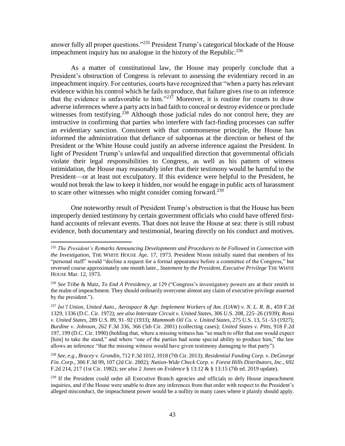answer fully all proper questions."<sup>235</sup> President Trump's categorical blockade of the House impeachment inquiry has no analogue in the history of the Republic.<sup>236</sup>

As a matter of constitutional law, the House may properly conclude that a President's obstruction of Congress is relevant to assessing the evidentiary record in an impeachment inquiry. For centuries, courts have recognized that "when a party has relevant evidence within his control which he fails to produce, that failure gives rise to an inference that the evidence is unfavorable to him." $237$  Moreover, it is routine for courts to draw adverse inferences where a party acts in bad faith to conceal or destroy evidence or preclude witnesses from testifying.<sup>238</sup> Although those judicial rules do not control here, they are instructive in confirming that parties who interfere with fact-finding processes can suffer an evidentiary sanction. Consistent with that commonsense principle, the House has informed the administration that defiance of subpoenas at the direction or behest of the President or the White House could justify an adverse inference against the President. In light of President Trump's unlawful and unqualified direction that governmental officials violate their legal responsibilities to Congress, as well as his pattern of witness intimidation, the House may reasonably infer that their testimony would be harmful to the President—or at least not exculpatory. If this evidence were helpful to the President, he would not break the law to keep it hidden, nor would he engage in public acts of harassment to scare other witnesses who might consider coming forward.<sup>239</sup>

One noteworthy result of President Trump's obstruction is that the House has been improperly denied testimony by certain government officials who could have offered firsthand accounts of relevant events. That does not leave the House at sea: there is still robust evidence, both documentary and testimonial, bearing directly on his conduct and motives.

<sup>235</sup> *The President's Remarks Announcing Developments and Procedures to be Followed in Connection with the Investigation,* THE WHITE HOUSE Apr. 17, 1973. President Nixon initially stated that members of his "personal staff" would "decline a request for a formal appearance before a committee of the Congress," but reversed course approximately one month later., *Statement by the President, Executive Privilege* THE WHITE HOUSE Mar. 12, 1973.

<sup>236</sup> *See* Tribe & Matz, *To End A Presidency*, at 129 ("Congress's investigatory powers are at their zenith in the realm of impeachment. They should ordinarily overcome almost any claim of executive privilege asserted by the president.").

<sup>237</sup> *Int'l Union, United Auto., Aerospace & Agr. Implement Workers of Am. (UAW) v. N. L. R. B.*, 459 F.2d 1329, 1336 (D.C. Cir. 1972); *see also Interstate Circuit v. United States*, 306 U.S. 208, 225–26 (1939); *Rossi v. United States*, 289 U.S. 89, 91–92 (1933); *Mammoth Oil Co. v. United States*, 275 U.S. 13, 51–53 (1927); *Burdine v. Johnson*, 262 F.3d 336, 366 (5th Cir. 2001) (collecting cases); *United States v. Pitts*, 918 F.2d 197, 199 (D.C. Cir. 1990) (holding that, where a missing witness has "so much to offer that one would expect [him] to take the stand," and where "one of the parties had some special ability to produce him," the law allows an inference "that the missing witness would have given testimony damaging to that party").

<sup>238</sup> *See, e.g.*, *Bracey v. Grondin*, 712 F.3d 1012, 1018 (7th Cir. 2013); *Residential Funding Corp. v. DeGeorge Fin. Corp.*, 306 F.3d 99, 107 (2d Cir. 2002); *Nation-Wide Check Corp. v. Forest Hills Distributors, Inc.*, 692 F.2d 214, 217 (1st Cir. 1982); *see also* 2 *Jones on Evidence* § 13:12 & § 13:15 (7th ed. 2019 update).

<sup>&</sup>lt;sup>239</sup> If the President could order all Executive Branch agencies and officials to defy House impeachment inquiries, and if the House were unable to draw any inferences from that order with respect to the President's alleged misconduct, the impeachment power would be a nullity in many cases where it plainly should apply.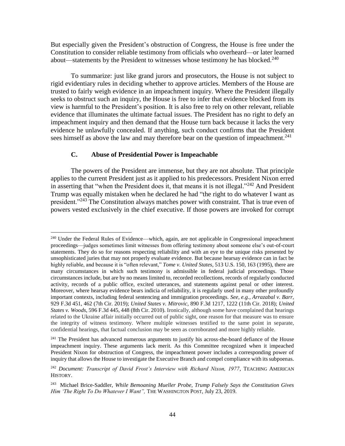But especially given the President's obstruction of Congress, the House is free under the Constitution to consider reliable testimony from officials who overheard—or later learned about—statements by the President to witnesses whose testimony he has blocked.<sup>240</sup>

To summarize: just like grand jurors and prosecutors, the House is not subject to rigid evidentiary rules in deciding whether to approve articles. Members of the House are trusted to fairly weigh evidence in an impeachment inquiry. Where the President illegally seeks to obstruct such an inquiry, the House is free to infer that evidence blocked from its view is harmful to the President's position. It is also free to rely on other relevant, reliable evidence that illuminates the ultimate factual issues. The President has no right to defy an impeachment inquiry and then demand that the House turn back because it lacks the very evidence he unlawfully concealed. If anything, such conduct confirms that the President sees himself as above the law and may therefore bear on the question of impeachment.<sup>241</sup>

# **C. Abuse of Presidential Power is Impeachable**

l

<span id="page-46-0"></span>The powers of the President are immense, but they are not absolute. That principle applies to the current President just as it applied to his predecessors. President Nixon erred in asserting that "when the President does it, that means it is not illegal."<sup>242</sup> And President Trump was equally mistaken when he declared he had "the right to do whatever I want as president."<sup>243</sup> The Constitution always matches power with constraint. That is true even of powers vested exclusively in the chief executive. If those powers are invoked for corrupt

<sup>&</sup>lt;sup>240</sup> Under the Federal Rules of Evidence—which, again, are not applicable in Congressional impeachment proceedings—judges sometimes limit witnesses from offering testimony about someone else's out-of-court statements. They do so for reasons respecting reliability and with an eye to the unique risks presented by unsophisticated juries that may not properly evaluate evidence. But because hearsay evidence can in fact be highly reliable, and because it is "often relevant," *Tome v. United States*, 513 U.S. 150, 163 (1995), there are many circumstances in which such testimony is admissible in federal judicial proceedings. Those circumstances include, but are by no means limited to, recorded recollections, records of regularly conducted activity, records of a public office, excited utterances, and statements against penal or other interest. Moreover, where hearsay evidence bears indicia of reliability, it is regularly used in many other profoundly important contexts, including federal sentencing and immigration proceedings. *See, e.g.*, *Arrazabal v. Barr*, 929 F.3d 451, 462 (7th Cir. 2019); *United States v. Mitrovic*, 890 F.3d 1217, 1222 (11th Cir. 2018); *United States v. Woods*, 596 F.3d 445, 448 (8th Cir. 2010). Ironically, although some have complained that hearings related to the Ukraine affair initially occurred out of public sight, one reason for that measure was to ensure the integrity of witness testimony. Where multiple witnesses testified to the same point in separate, confidential hearings, that factual conclusion may be seen as corroborated and more highly reliable.

<sup>&</sup>lt;sup>241</sup> The President has advanced numerous arguments to justify his across-the-board defiance of the House impeachment inquiry. These arguments lack merit. As this Committee recognized when it impeached President Nixon for obstruction of Congress, the impeachment power includes a corresponding power of inquiry that allows the House to investigate the Executive Branch and compel compliance with its subpoenas.

<sup>242</sup> *Document: Transcript of David Frost's Interview with Richard Nixon, 1977*, TEACHING AMERICAN HISTORY.

<sup>243</sup> Michael Brice-Saddler, *While Bemoaning Mueller Probe, Trump Falsely Says the Constitution Gives Him 'The Right To Do Whatever I Want",* THE WASHINGTON POST, July 23, 2019.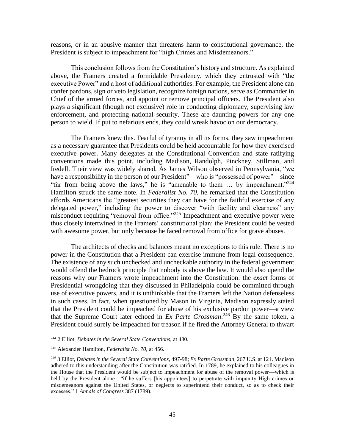reasons, or in an abusive manner that threatens harm to constitutional governance, the President is subject to impeachment for "high Crimes and Misdemeanors."

This conclusion follows from the Constitution's history and structure. As explained above, the Framers created a formidable Presidency, which they entrusted with "the executive Power" and a host of additional authorities. For example, the President alone can confer pardons, sign or veto legislation, recognize foreign nations, serve as Commander in Chief of the armed forces, and appoint or remove principal officers. The President also plays a significant (though not exclusive) role in conducting diplomacy, supervising law enforcement, and protecting national security. These are daunting powers for any one person to wield. If put to nefarious ends, they could wreak havoc on our democracy.

The Framers knew this. Fearful of tyranny in all its forms, they saw impeachment as a necessary guarantee that Presidents could be held accountable for how they exercised executive power. Many delegates at the Constitutional Convention and state ratifying conventions made this point, including Madison, Randolph, Pinckney, Stillman, and Iredell. Their view was widely shared. As James Wilson observed in Pennsylvania, "we have a responsibility in the person of our President"—who is "possessed of power"—since "far from being above the laws," he is "amenable to them  $\ldots$  by impeachment."<sup>244</sup> Hamilton struck the same note. In *Federalist No. 70*, he remarked that the Constitution affords Americans the "greatest securities they can have for the faithful exercise of any delegated power," including the power to discover "with facility and clearness" any misconduct requiring "removal from office."<sup>245</sup> Impeachment and executive power were thus closely intertwined in the Framers' constitutional plan: the President could be vested with awesome power, but only because he faced removal from office for grave abuses.

The architects of checks and balances meant no exceptions to this rule. There is no power in the Constitution that a President can exercise immune from legal consequence. The existence of any such unchecked and uncheckable authority in the federal government would offend the bedrock principle that nobody is above the law. It would also upend the reasons why our Framers wrote impeachment into the Constitution: the *exact* forms of Presidential wrongdoing that they discussed in Philadelphia could be committed through use of executive powers, and it is unthinkable that the Framers left the Nation defenseless in such cases. In fact, when questioned by Mason in Virginia, Madison expressly stated that the President could be impeached for abuse of his exclusive pardon power—a view that the Supreme Court later echoed in *Ex Parte Grossman*. <sup>246</sup> By the same token, a President could surely be impeached for treason if he fired the Attorney General to thwart

<sup>244</sup> 2 Elliot, *Debates in the Several State Conventions,* at 480.

<sup>245</sup> Alexander Hamilton, *Federalist No. 70,* at 456.

<sup>246</sup> 3 Elliot, *Debates in the Several State Conventions,* 497-98; *Ex Parte Grossman*, 267 U.S. at 121. Madison adhered to this understanding after the Constitution was ratified. In 1789, he explained to his colleagues in the House that the President would be subject to impeachment for abuse of the removal power—which is held by the President alone—"if he suffers [his appointees] to perpetrate with impunity High crimes or misdemeanors against the United States, or neglects to superintend their conduct, so as to check their excesses." 1 *Annals of Congress* 387 (1789).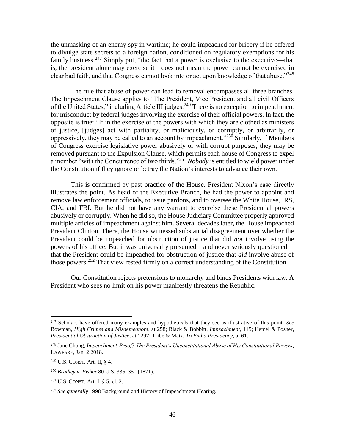the unmasking of an enemy spy in wartime; he could impeached for bribery if he offered to divulge state secrets to a foreign nation, conditioned on regulatory exemptions for his family business.<sup>247</sup> Simply put, "the fact that a power is exclusive to the executive—that is, the president alone may exercise it—does not mean the power cannot be exercised in clear bad faith, and that Congress cannot look into or act upon knowledge of that abuse."<sup>248</sup>

The rule that abuse of power can lead to removal encompasses all three branches. The Impeachment Clause applies to "The President, Vice President and all civil Officers of the United States," including Article III judges.<sup>249</sup> There is no exception to impeachment for misconduct by federal judges involving the exercise of their official powers. In fact, the opposite is true: "If in the exercise of the powers with which they are clothed as ministers of justice, [judges] act with partiality, or maliciously, or corruptly, or arbitrarily, or oppressively, they may be called to an account by impeachment."<sup>250</sup> Similarly, if Members of Congress exercise legislative power abusively or with corrupt purposes, they may be removed pursuant to the Expulsion Clause, which permits each house of Congress to expel a member "with the Concurrence of two thirds." <sup>251</sup> *Nobody* is entitled to wield power under the Constitution if they ignore or betray the Nation's interests to advance their own.

This is confirmed by past practice of the House. President Nixon's case directly illustrates the point. As head of the Executive Branch, he had the power to appoint and remove law enforcement officials, to issue pardons, and to oversee the White House, IRS, CIA, and FBI. But he did not have any warrant to exercise these Presidential powers abusively or corruptly. When he did so, the House Judiciary Committee properly approved multiple articles of impeachment against him. Several decades later, the House impeached President Clinton. There, the House witnessed substantial disagreement over whether the President could be impeached for obstruction of justice that did *not* involve using the powers of his office. But it was universally presumed—and never seriously questioned that the President could be impeached for obstruction of justice that *did* involve abuse of those powers.<sup>252</sup> That view rested firmly on a correct understanding of the Constitution.

Our Constitution rejects pretensions to monarchy and binds Presidents with law. A President who sees no limit on his power manifestly threatens the Republic.

<sup>247</sup> Scholars have offered many examples and hypotheticals that they see as illustrative of this point. *See* Bowman, *High Crimes and Misdemeanors*, at 258; Black & Bobbitt, *Impeachment*, 115; Hemel & Posner, *Presidential Obstruction of Justice,* at 1297; Tribe & Matz, *To End a Presidency*, at 61.

<sup>248</sup> Jane Chong, *Impeachment-Proof? The President's Unconstitutional Abuse of His Constitutional Powers*, LAWFARE, Jan. 2 2018.

<sup>249</sup> U.S. CONST. Art. II, § 4.

<sup>250</sup> *Bradley v. Fisher* 80 U.S. 335, 350 (1871).

<sup>251</sup> U.S. CONST. Art. I, § 5, cl. 2.

<sup>252</sup> *See generally* 1998 Background and History of Impeachment Hearing.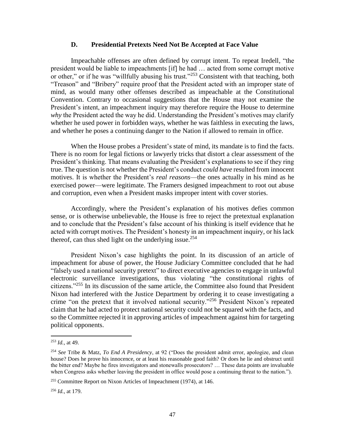#### **D. Presidential Pretexts Need Not Be Accepted at Face Value**

<span id="page-49-0"></span>Impeachable offenses are often defined by corrupt intent. To repeat Iredell, "the president would be liable to impeachments [if] he had … acted from some corrupt motive or other," or if he was "willfully abusing his trust."<sup>253</sup> Consistent with that teaching, both "Treason" and "Bribery" require proof that the President acted with an improper state of mind, as would many other offenses described as impeachable at the Constitutional Convention. Contrary to occasional suggestions that the House may not examine the President's intent, an impeachment inquiry may therefore require the House to determine *why* the President acted the way he did. Understanding the President's motives may clarify whether he used power in forbidden ways, whether he was faithless in executing the laws, and whether he poses a continuing danger to the Nation if allowed to remain in office.

When the House probes a President's state of mind, its mandate is to find the facts. There is no room for legal fictions or lawyerly tricks that distort a clear assessment of the President's thinking. That means evaluating the President's explanations to see if they ring true. The question is not whether the President's conduct *could have* resulted from innocent motives. It is whether the President's *real reasons*—the ones actually in his mind as he exercised power—were legitimate. The Framers designed impeachment to root out abuse and corruption, even when a President masks improper intent with cover stories.

Accordingly, where the President's explanation of his motives defies common sense, or is otherwise unbelievable, the House is free to reject the pretextual explanation and to conclude that the President's false account of his thinking is itself evidence that he acted with corrupt motives. The President's honesty in an impeachment inquiry, or his lack thereof, can thus shed light on the underlying issue.<sup>254</sup>

President Nixon's case highlights the point. In its discussion of an article of impeachment for abuse of power, the House Judiciary Committee concluded that he had "falsely used a national security pretext" to direct executive agencies to engage in unlawful electronic surveillance investigations, thus violating "the constitutional rights of citizens."<sup>255</sup> In its discussion of the same article, the Committee also found that President Nixon had interfered with the Justice Department by ordering it to cease investigating a crime "on the pretext that it involved national security."<sup>256</sup> President Nixon's repeated claim that he had acted to protect national security could not be squared with the facts, and so the Committee rejected it in approving articles of impeachment against him for targeting political opponents.

 $\overline{\phantom{a}}$ 

<sup>256</sup> *Id.,* at 179.

 $^{253}$  *Id.*, at 49.

<sup>254</sup> *See* Tribe & Matz, *To End A Presidency*, at 92 ("Does the president admit error, apologize, and clean house? Does he prove his innocence, or at least his reasonable good faith? Or does he lie and obstruct until the bitter end? Maybe he fires investigators and stonewalls prosecutors? … These data points are invaluable when Congress asks whether leaving the president in office would pose a continuing threat to the nation.").

<sup>255</sup> Committee Report on Nixon Articles of Impeachment (1974)*,* at 146.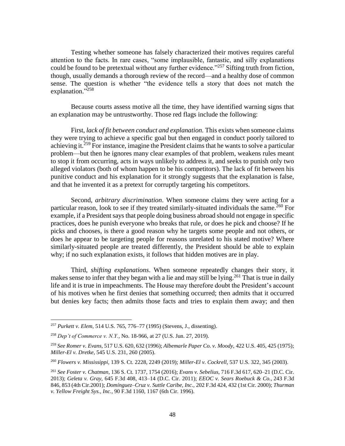Testing whether someone has falsely characterized their motives requires careful attention to the facts. In rare cases, "some implausible, fantastic, and silly explanations could be found to be pretextual without any further evidence."<sup>257</sup> Sifting truth from fiction, though, usually demands a thorough review of the record—and a healthy dose of common sense. The question is whether "the evidence tells a story that does not match the explanation."<sup>258</sup>

Because courts assess motive all the time, they have identified warning signs that an explanation may be untrustworthy. Those red flags include the following:

First, *lack of fit between conduct and explanation.* This exists when someone claims they were trying to achieve a specific goal but then engaged in conduct poorly tailored to achieving it.<sup>259</sup> For instance, imagine the President claims that he wants to solve a particular problem—but then he ignores many clear examples of that problem, weakens rules meant to stop it from occurring, acts in ways unlikely to address it, and seeks to punish only two alleged violators (both of whom happen to be his competitors). The lack of fit between his punitive conduct and his explanation for it strongly suggests that the explanation is false, and that he invented it as a pretext for corruptly targeting his competitors.

Second, *arbitrary discrimination*. When someone claims they were acting for a particular reason, look to see if they treated similarly-situated individuals the same.<sup>260</sup> For example, if a President says that people doing business abroad should not engage in specific practices, does he punish everyone who breaks that rule, or does he pick and choose? If he picks and chooses, is there a good reason why he targets some people and not others, or does he appear to be targeting people for reasons unrelated to his stated motive? Where similarly-situated people are treated differently, the President should be able to explain why; if no such explanation exists, it follows that hidden motives are in play.

Third, *shifting explanations*. When someone repeatedly changes their story, it makes sense to infer that they began with a lie and may still be lying.<sup>261</sup> That is true in daily life and it is true in impeachments. The House may therefore doubt the President's account of his motives when he first denies that something occurred; then admits that it occurred but denies key facts; then admits those facts and tries to explain them away; and then

<sup>257</sup> *Purkett v. Elem*, 514 U.S. 765, 776–77 (1995) (Stevens, J., dissenting).

<sup>258</sup> *Dep't of Commerce v. N.Y.*, No. 18-966, at 27 (U.S. Jun. 27, 2019).

<sup>259</sup> *See Romer v. Evans*, 517 U.S. 620, 632 (1996); *Albemarle Paper Co. v. Moody,* 422 U.S. 405, 425 (1975); *Miller-El v. Dretke,* 545 U.S. 231, 260 (2005).

<sup>260</sup> *Flowers v. Mississippi*, 139 S. Ct. 2228, 2249 (2019); *Miller-El v. Cockrell,* 537 U.S. 322, 345 (2003).

<sup>261</sup> *See Foster v. Chatman*, 136 S. Ct. 1737, 1754 (2016); *Evans v. Sebelius*, 716 F.3d 617, 620–21 (D.C. Cir. 2013); *Geleta v. Gray*, 645 F.3d 408, 413–14 (D.C. Cir. 2011); *EEOC v. Sears Roebuck & Co.,* 243 F.3d 846, 853 (4th Cir.2001); *Domínguez–Cruz v. Suttle Caribe, Inc.,* 202 F.3d 424, 432 (1st Cir. 2000); *Thurman v. Yellow Freight Sys., Inc.,* 90 F.3d 1160, 1167 (6th Cir. 1996).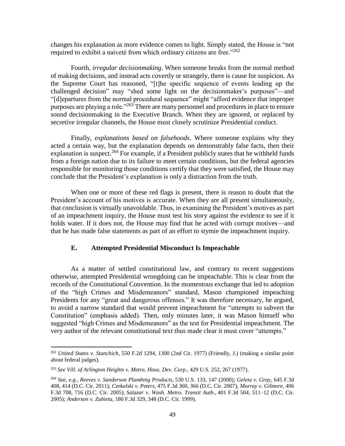changes his explanation as more evidence comes to light. Simply stated, the House is "not required to exhibit a naiveté from which ordinary citizens are free."<sup>262</sup>

Fourth, *irregular decisionmaking*. When someone breaks from the normal method of making decisions, and instead acts covertly or strangely, there is cause for suspicion. As the Supreme Court has reasoned, "[t]he specific sequence of events leading up the challenged decision" may "shed some light on the decisionmaker's purposes"—and "[d]epartures from the normal procedural sequence" might "afford evidence that improper purposes are playing a role."<sup>263</sup> There are many personnel and procedures in place to ensure sound decisionmaking in the Executive Branch. When they are ignored, or replaced by secretive irregular channels, the House must closely scrutinize Presidential conduct.

Finally, *explanations based on falsehoods*. Where someone explains why they acted a certain way, but the explanation depends on demonstrably false facts, then their explanation is suspect.<sup>264</sup> For example, if a President publicly states that he withheld funds from a foreign nation due to its failure to meet certain conditions, but the federal agencies responsible for monitoring those conditions certify that they were satisfied, the House may conclude that the President's explanation is only a distraction from the truth.

When one or more of these red flags is present, there is reason to doubt that the President's account of his motives is accurate. When they are all present simultaneously, that conclusion is virtually unavoidable. Thus, in examining the President's motives as part of an impeachment inquiry, the House must test his story against the evidence to see if it holds water. If it does not, the House may find that he acted with corrupt motives—and that he has made false statements as part of an effort to stymie the impeachment inquiry.

# <span id="page-51-0"></span>**E. Attempted Presidential Misconduct Is Impeachable**

As a matter of settled constitutional law, and contrary to recent suggestions otherwise, attempted Presidential wrongdoing can be impeachable. This is clear from the records of the Constitutional Convention. In the momentous exchange that led to adoption of the "high Crimes and Misdemeanors" standard, Mason championed impeaching Presidents for any "great and dangerous offenses." It was therefore necessary, he argued, to avoid a narrow standard that would prevent impeachment for "*attempts* to subvert the Constitution" (emphasis added). Then, only minutes later, it was Mason himself who suggested "high Crimes and Misdemeanors" as the test for Presidential impeachment. The very author of the relevant constitutional text thus made clear it must cover "attempts."

<sup>262</sup> *United States v. Stanchich*, 550 F.2d 1294, 1300 (2nd Cir. 1977) (Friendly, J.) (making a similar point about federal judges).

<sup>263</sup> *See Vill. of Arlington Heights v. Metro. Hous. Dev. Corp.*, 429 U.S. 252, 267 (1977).

<sup>264</sup> *See, e.g.*, *Reeves v. Sanderson Plumbing Products*, 530 U.S. 133, 147 (2000); *Geleta v. Gray*, 645 F.3d 408, 414 (D.C. Cir. 2011); *Czekalski v. Peters*, 475 F.3d 360, 366 (D.C. Cir. 2007); *Murray v. Gilmore*, 406 F.3d 708, 716 (D.C. Cir. 2005); *Salazar v. Wash. Metro. Transit Auth*., 401 F.3d 504, 511–12 (D.C. Cir. 2005); *Anderson v. Zubieta,* 180 F.3d 329, 348 (D.C. Cir. 1999).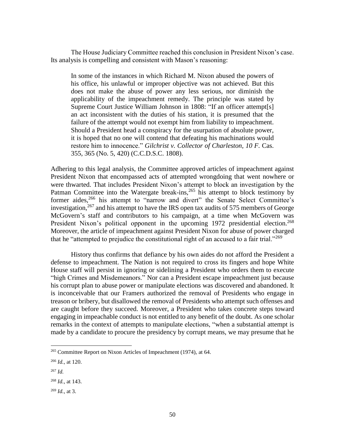The House Judiciary Committee reached this conclusion in President Nixon's case. Its analysis is compelling and consistent with Mason's reasoning:

In some of the instances in which Richard M. Nixon abused the powers of his office, his unlawful or improper objective was not achieved. But this does not make the abuse of power any less serious, nor diminish the applicability of the impeachment remedy. The principle was stated by Supreme Court Justice William Johnson in 1808: "If an officer attempt[s] an act inconsistent with the duties of his station, it is presumed that the failure of the attempt would not exempt him from liability to impeachment. Should a President head a conspiracy for the usurpation of absolute power, it is hoped that no one will contend that defeating his machinations would restore him to innocence." Gilchrist v. Collector of Charleston, 10 F. Cas. 355, 365 (No. 5, 420) (C.C.D.S.C. 1808).

Adhering to this legal analysis, the Committee approved articles of impeachment against President Nixon that encompassed acts of attempted wrongdoing that went nowhere or were thwarted. That includes President Nixon's attempt to block an investigation by the Patman Committee into the Watergate break-ins,  $265$  his attempt to block testimony by former aides,<sup>266</sup> his attempt to "narrow and divert" the Senate Select Committee's investigation,  $267$  and his attempt to have the IRS open tax audits of 575 members of George McGovern's staff and contributors to his campaign, at a time when McGovern was President Nixon's political opponent in the upcoming 1972 presidential election.<sup>268</sup> Moreover, the article of impeachment against President Nixon for abuse of power charged that he "attempted to prejudice the constitutional right of an accused to a fair trial."<sup>269</sup>

History thus confirms that defiance by his own aides do not afford the President a defense to impeachment. The Nation is not required to cross its fingers and hope White House staff will persist in ignoring or sidelining a President who orders them to execute "high Crimes and Misdemeanors." Nor can a President escape impeachment just because his corrupt plan to abuse power or manipulate elections was discovered and abandoned. It is inconceivable that our Framers authorized the removal of Presidents who engage in treason or bribery, but disallowed the removal of Presidents who attempt such offenses and are caught before they succeed. Moreover, a President who takes concrete steps toward engaging in impeachable conduct is not entitled to any benefit of the doubt. As one scholar remarks in the context of attempts to manipulate elections, "when a substantial attempt is made by a candidate to procure the presidency by corrupt means, we may presume that he

<sup>265</sup> Committee Report on Nixon Articles of Impeachment (1974), at 64.

<sup>266</sup> *Id.,* at 120.

<sup>267</sup> *Id.*

<sup>268</sup> *Id.*, at 143.

<sup>269</sup> *Id.*, at 3.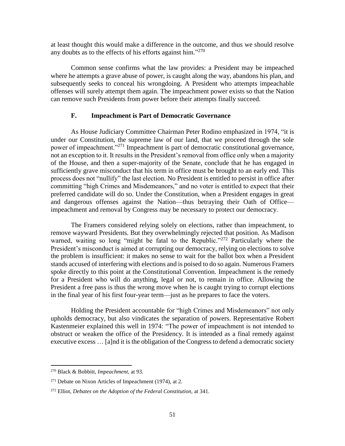at least thought this would make a difference in the outcome, and thus we should resolve any doubts as to the effects of his efforts against him."<sup>270</sup>

Common sense confirms what the law provides: a President may be impeached where he attempts a grave abuse of power, is caught along the way, abandons his plan, and subsequently seeks to conceal his wrongdoing. A President who attempts impeachable offenses will surely attempt them again. The impeachment power exists so that the Nation can remove such Presidents from power before their attempts finally succeed.

#### **F. Impeachment is Part of Democratic Governance**

<span id="page-53-0"></span>As House Judiciary Committee Chairman Peter Rodino emphasized in 1974, "it is under our Constitution, the supreme law of our land, that we proceed through the sole power of impeachment."<sup>271</sup> Impeachment is part of democratic constitutional governance, not an exception to it. It results in the President's removal from office only when a majority of the House, and then a super-majority of the Senate, conclude that he has engaged in sufficiently grave misconduct that his term in office must be brought to an early end. This process does not "nullify" the last election. No President is entitled to persist in office after committing "high Crimes and Misdemeanors," and no voter is entitled to expect that their preferred candidate will do so. Under the Constitution, when a President engages in great and dangerous offenses against the Nation—thus betraying their Oath of Office impeachment and removal by Congress may be necessary to protect our democracy.

The Framers considered relying solely on elections, rather than impeachment, to remove wayward Presidents. But they overwhelmingly rejected that position. As Madison warned, waiting so long "might be fatal to the Republic."<sup>272</sup> Particularly where the President's misconduct is aimed at corrupting our democracy, relying on elections to solve the problem is insufficient: it makes no sense to wait for the ballot box when a President stands accused of interfering with elections and is poised to do so again. Numerous Framers spoke directly to this point at the Constitutional Convention. Impeachment is the remedy for a President who will do anything, legal or not, to remain in office. Allowing the President a free pass is thus the wrong move when he is caught trying to corrupt elections in the final year of his first four-year term—just as he prepares to face the voters.

Holding the President accountable for "high Crimes and Misdemeanors" not only upholds democracy, but also vindicates the separation of powers. Representative Robert Kastenmeier explained this well in 1974: "The power of impeachment is not intended to obstruct or weaken the office of the Presidency. It is intended as a final remedy against executive excess … [a]nd it is the obligation of the Congress to defend a democratic society

<sup>270</sup> Black & Bobbitt, *Impeachment*, at 93.

 $271$  Debate on Nixon Articles of Impeachment (1974), at 2.

<sup>272</sup> Elliot, *Debates on the Adoption of the Federal Constitution,* at 341.